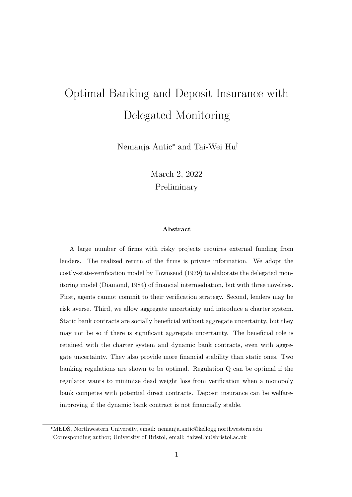# Optimal Banking and Deposit Insurance with Delegated Monitoring

Nemanja Antic\* and Tai-Wei Hu

March 2, 2022 Preliminary

### Abstract

A large number of firms with risky projects requires external funding from lenders. The realized return of the firms is private information. We adopt the costly-state-verification model by Townsend (1979) to elaborate the delegated monitoring model (Diamond, 1984) of financial intermediation, but with three novelties. First, agents cannot commit to their verification strategy. Second, lenders may be risk averse. Third, we allow aggregate uncertainty and introduce a charter system. Static bank contracts are socially beneficial without aggregate uncertainty, but they may not be so if there is significant aggregate uncertainty. The beneficial role is retained with the charter system and dynamic bank contracts, even with aggregate uncertainty. They also provide more financial stability than static ones. Two banking regulations are shown to be optimal. Regulation Q can be optimal if the regulator wants to minimize dead weight loss from verification when a monopoly bank competes with potential direct contracts. Deposit insurance can be welfareimproving if the dynamic bank contract is not financially stable.

<sup>\*</sup>MEDS, Northwestern University, email: nemanja.antic@kellogg.northwestern.edu

Corresponding author; University of Bristol, email: taiwei.hu@bristol.ac.uk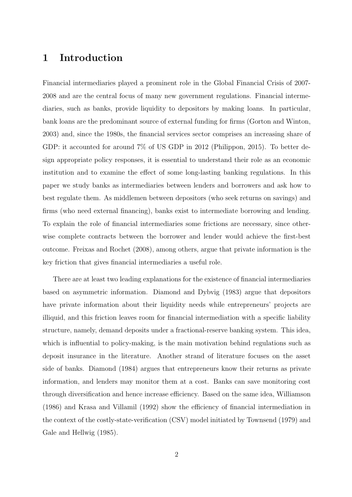# 1 Introduction

Financial intermediaries played a prominent role in the Global Financial Crisis of 2007- 2008 and are the central focus of many new government regulations. Financial intermediaries, such as banks, provide liquidity to depositors by making loans. In particular, bank loans are the predominant source of external funding for firms (Gorton and Winton, 2003) and, since the 1980s, the financial services sector comprises an increasing share of GDP: it accounted for around 7% of US GDP in 2012 (Philippon, 2015). To better design appropriate policy responses, it is essential to understand their role as an economic institution and to examine the effect of some long-lasting banking regulations. In this paper we study banks as intermediaries between lenders and borrowers and ask how to best regulate them. As middlemen between depositors (who seek returns on savings) and firms (who need external financing), banks exist to intermediate borrowing and lending. To explain the role of financial intermediaries some frictions are necessary, since otherwise complete contracts between the borrower and lender would achieve the first-best outcome. Freixas and Rochet (2008), among others, argue that private information is the key friction that gives financial intermediaries a useful role.

There are at least two leading explanations for the existence of financial intermediaries based on asymmetric information. Diamond and Dybvig (1983) argue that depositors have private information about their liquidity needs while entrepreneurs' projects are illiquid, and this friction leaves room for financial intermediation with a specific liability structure, namely, demand deposits under a fractional-reserve banking system. This idea, which is influential to policy-making, is the main motivation behind regulations such as deposit insurance in the literature. Another strand of literature focuses on the asset side of banks. Diamond (1984) argues that entrepreneurs know their returns as private information, and lenders may monitor them at a cost. Banks can save monitoring cost through diversification and hence increase efficiency. Based on the same idea, Williamson (1986) and Krasa and Villamil (1992) show the efficiency of financial intermediation in the context of the costly-state-verification (CSV) model initiated by Townsend (1979) and Gale and Hellwig (1985).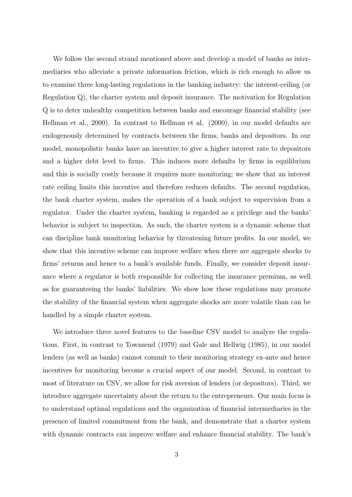We follow the second strand mentioned above and develop a model of banks as intermediaries who alleviate a private information friction, which is rich enough to allow us to examine three long-lasting regulations in the banking industry: the interest-ceiling (or Regulation Q), the charter system and deposit insurance. The motivation for Regulation Q is to deter unhealthy competition between banks and encourage financial stability (see Hellman et al., 2000). In contrast to Hellman et al. (2000), in our model defaults are endogenously determined by contracts between the firms, banks and depositors. In our model, monopolistic banks have an incentive to give a higher interest rate to depositors and a higher debt level to firms. This induces more defaults by firms in equilibrium and this is socially costly because it requires more monitoring; we show that an interest rate ceiling limits this incentive and therefore reduces defaults. The second regulation, the bank charter system, makes the operation of a bank subject to supervision from a regulator. Under the charter system, banking is regarded as a privilege and the banks' behavior is subject to inspection. As such, the charter system is a dynamic scheme that can discipline bank monitoring behavior by threatening future profits. In our model, we show that this incentive scheme can improve welfare when there are aggregate shocks to firms' returns and hence to a bank's available funds. Finally, we consider deposit insurance where a regulator is both responsible for collecting the insurance premium, as well as for guaranteeing the banks' liabilities. We show how these regulations may promote the stability of the financial system when aggregate shocks are more volatile than can be handled by a simple charter system.

We introduce three novel features to the baseline CSV model to analyze the regulations. First, in contrast to Townsend (1979) and Gale and Hellwig (1985), in our model lenders (as well as banks) cannot commit to their monitoring strategy ex-ante and hence incentives for monitoring become a crucial aspect of our model. Second, in contrast to most of literature on CSV, we allow for risk aversion of lenders (or depositors). Third, we introduce aggregate uncertainty about the return to the entrepreneurs. Our main focus is to understand optimal regulations and the organization of financial intermediaries in the presence of limited commitment from the bank, and demonstrate that a charter system with dynamic contracts can improve welfare and enhance financial stability. The bank's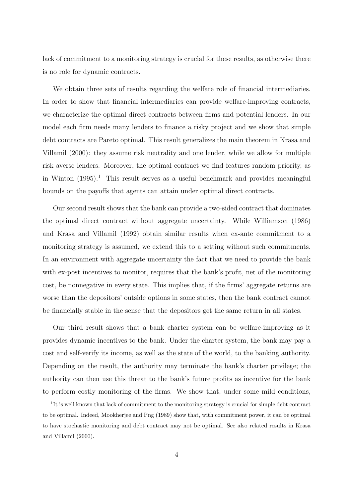lack of commitment to a monitoring strategy is crucial for these results, as otherwise there is no role for dynamic contracts.

We obtain three sets of results regarding the welfare role of financial intermediaries. In order to show that financial intermediaries can provide welfare-improving contracts, we characterize the optimal direct contracts between firms and potential lenders. In our model each firm needs many lenders to finance a risky project and we show that simple debt contracts are Pareto optimal. This result generalizes the main theorem in Krasa and Villamil (2000): they assume risk neutrality and one lender, while we allow for multiple risk averse lenders. Moreover, the optimal contract we find features random priority, as in Winton  $(1995).<sup>1</sup>$  This result serves as a useful benchmark and provides meaningful bounds on the payoffs that agents can attain under optimal direct contracts.

Our second result shows that the bank can provide a two-sided contract that dominates the optimal direct contract without aggregate uncertainty. While Williamson (1986) and Krasa and Villamil (1992) obtain similar results when ex-ante commitment to a monitoring strategy is assumed, we extend this to a setting without such commitments. In an environment with aggregate uncertainty the fact that we need to provide the bank with ex-post incentives to monitor, requires that the bank's profit, net of the monitoring cost, be nonnegative in every state. This implies that, if the firms' aggregate returns are worse than the depositors' outside options in some states, then the bank contract cannot be financially stable in the sense that the depositors get the same return in all states.

Our third result shows that a bank charter system can be welfare-improving as it provides dynamic incentives to the bank. Under the charter system, the bank may pay a cost and self-verify its income, as well as the state of the world, to the banking authority. Depending on the result, the authority may terminate the bank's charter privilege; the authority can then use this threat to the bank's future profits as incentive for the bank to perform costly monitoring of the firms. We show that, under some mild conditions,

<sup>&</sup>lt;sup>1</sup>It is well known that lack of commitment to the monitoring strategy is crucial for simple debt contract to be optimal. Indeed, Mookherjee and Png (1989) show that, with commitment power, it can be optimal to have stochastic monitoring and debt contract may not be optimal. See also related results in Krasa and Villamil (2000).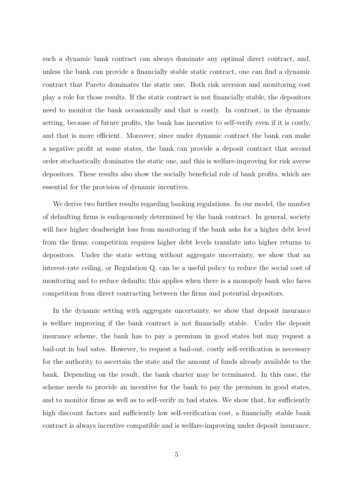such a dynamic bank contract can always dominate any optimal direct contract, and, unless the bank can provide a financially stable static contract, one can find a dynamic contract that Pareto dominates the static one. Both risk aversion and monitoring cost play a role for those results. If the static contract is not financially stable, the depositors need to monitor the bank occasionally and that is costly. In contrast, in the dynamic setting, because of future profits, the bank has incentive to self-verify even if it is costly, and that is more efficient. Moreover, since under dynamic contract the bank can make a negative profit at some states, the bank can provide a deposit contract that second order stochastically dominates the static one, and this is welfare-improving for risk averse depositors. These results also show the socially beneficial role of bank profits, which are essential for the provision of dynamic incentives.

We derive two further results regarding banking regulations. In our model, the number of defaulting firms is endogenously determined by the bank contract. In general, society will face higher deadweight loss from monitoring if the bank asks for a higher debt level from the firms; competition requires higher debt levels translate into higher returns to depositors. Under the static setting without aggregate uncertainty, we show that an interest-rate ceiling, or Regulation Q, can be a useful policy to reduce the social cost of monitoring and to reduce defaults; this applies when there is a monopoly bank who faces competition from direct contracting between the firms and potential depositors.

In the dynamic setting with aggregate uncertainty, we show that deposit insurance is welfare improving if the bank contract is not financially stable. Under the deposit insurance scheme, the bank has to pay a premium in good states but may request a bail-out in bad sates. However, to request a bail-out, costly self-verification is necessary for the authority to ascertain the state and the amount of funds already available to the bank. Depending on the result, the bank charter may be terminated. In this case, the scheme needs to provide an incentive for the bank to pay the premium in good states, and to monitor firms as well as to self-verify in bad states. We show that, for sufficiently high discount factors and sufficiently low self-verification cost, a financially stable bank contract is always incentive compatible and is welfare-improving under deposit insurance.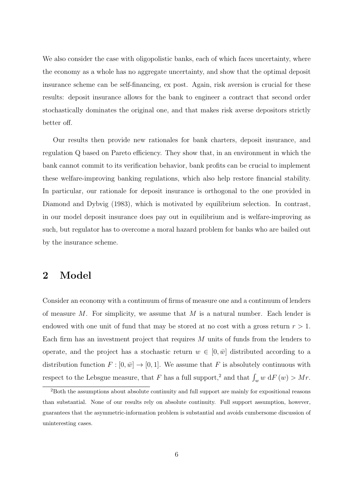We also consider the case with oligopolistic banks, each of which faces uncertainty, where the economy as a whole has no aggregate uncertainty, and show that the optimal deposit insurance scheme can be self-financing, ex post. Again, risk aversion is crucial for these results: deposit insurance allows for the bank to engineer a contract that second order stochastically dominates the original one, and that makes risk averse depositors strictly better off.

Our results then provide new rationales for bank charters, deposit insurance, and regulation Q based on Pareto efficiency. They show that, in an environment in which the bank cannot commit to its verification behavior, bank profits can be crucial to implement these welfare-improving banking regulations, which also help restore financial stability. In particular, our rationale for deposit insurance is orthogonal to the one provided in Diamond and Dybvig (1983), which is motivated by equilibrium selection. In contrast, in our model deposit insurance does pay out in equilibrium and is welfare-improving as such, but regulator has to overcome a moral hazard problem for banks who are bailed out by the insurance scheme.

# 2 Model

Consider an economy with a continuum of firms of measure one and a continuum of lenders of measure  $M$ . For simplicity, we assume that  $M$  is a natural number. Each lender is endowed with one unit of fund that may be stored at no cost with a gross return  $r > 1$ . Each firm has an investment project that requires M units of funds from the lenders to operate, and the project has a stochastic return  $w \in [0, \bar{w}]$  distributed according to a distribution function  $F : [0, \bar{w}] \to [0, 1]$ . We assume that F is absolutely continuous with respect to the Lebsgue measure, that F has a full support,<sup>2</sup> and that  $\int_w w \, dF(w) > Mr$ .

<sup>2</sup>Both the assumptions about absolute continuity and full support are mainly for expositional reasons than substantial. None of our results rely on absolute continuity. Full support assumption, however, guarantees that the asymmetric-information problem is substantial and avoids cumbersome discussion of uninteresting cases.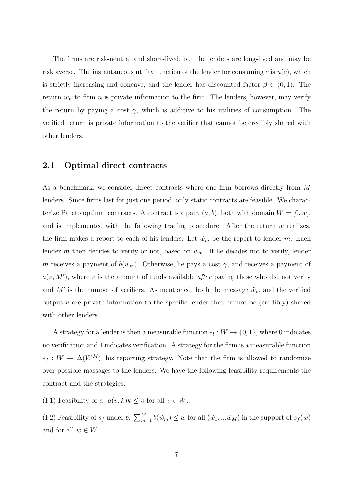The firms are risk-neutral and short-lived, but the lenders are long-lived and may be risk averse. The instantaneous utility function of the lender for consuming c is  $u(c)$ , which is strictly increasing and concave, and the lender has discounted factor  $\beta \in (0,1)$ . The return  $w_n$  to firm n is private information to the firm. The lenders, however, may verify the return by paying a cost  $\gamma$ , which is additive to his utilities of consumption. The verified return is private information to the verifier that cannot be credibly shared with other lenders.

# 2.1 Optimal direct contracts

As a benchmark, we consider direct contracts where one firm borrows directly from M lenders. Since firms last for just one period, only static contracts are feasible. We characterize Pareto optimal contracts. A contract is a pair,  $(a, b)$ , both with domain  $W = [0, \bar{w}]$ , and is implemented with the following trading procedure. After the return  $w$  realizes, the firm makes a report to each of his lenders. Let  $\tilde{w}_m$  be the report to lender m. Each lender m then decides to verify or not, based on  $\tilde{w}_m$ . If he decides not to verify, lender m receives a payment of  $b(\tilde w_m)$ . Otherwise, he pays a cost  $\gamma$ , and receives a payment of  $a(v, M')$ , where v is the amount of funds available *after* paying those who did not verify and M' is the number of verifiers. As mentioned, both the message  $\tilde{w}_m$  and the verified output v are private information to the specific lender that cannot be (credibly) shared with other lenders.

A strategy for a lender is then a measurable function  $s_l: W \to \{0,1\}$ , where 0 indicates no verification and 1 indicates verification. A strategy for the firm is a measurable function  $s_f : W \to \Delta(W^M)$ , his reporting strategy. Note that the firm is allowed to randomize over possible massages to the lenders. We have the following feasibility requirements the contract and the strategies:

(F1) Feasibility of a:  $a(v, k)k \leq v$  for all  $v \in W$ .

(F2) Feasibility of  $s_f$  under b:  $\sum_{m=1}^M b(\tilde{w}_m) \leq w$  for all  $(\tilde{w}_1, \dots, \tilde{w}_M)$  in the support of  $s_f(w)$ and for all  $w \in W$ .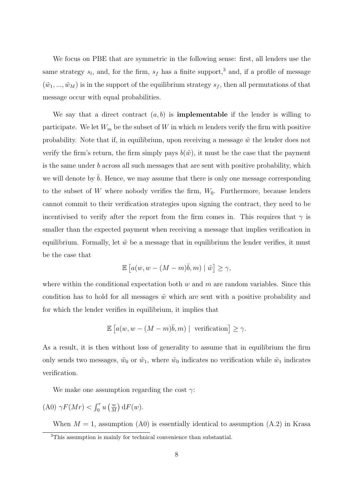We focus on PBE that are symmetric in the following sense: first, all lenders use the same strategy  $s_l$ , and, for the firm,  $s_f$  has a finite support,<sup>3</sup> and, if a profile of message  $(\tilde{w}_1, ..., \tilde{w}_M)$  is in the support of the equilibrium strategy  $s_f$ , then all permutations of that message occur with equal probabilities.

We say that a direct contract  $(a, b)$  is **implementable** if the lender is willing to participate. We let  $W_m$  be the subset of W in which m lenders verify the firm with positive probability. Note that if, in equilibrium, upon receiving a message  $\tilde{w}$  the lender does not verify the firm's return, the firm simply pays  $b(\tilde{w})$ , it must be the case that the payment is the same under b across all such messages that are sent with positive probability, which we will denote by  $\bar{b}$ . Hence, we may assume that there is only one message corresponding to the subset of W where nobody verifies the firm,  $W_0$ . Furthermore, because lenders cannot commit to their verification strategies upon signing the contract, they need to be incentivised to verify after the report from the firm comes in. This requires that  $\gamma$  is smaller than the expected payment when receiving a message that implies verification in equilibrium. Formally, let  $\tilde{w}$  be a message that in equilibrium the lender verifies, it must be the case that

$$
\mathbb{E}\left[a(w, w - (M-m)\bar{b}, m) \mid \tilde{w}\right] \ge \gamma,
$$

where within the conditional expectation both  $w$  and  $m$  are random variables. Since this condition has to hold for all messages  $\tilde{w}$  which are sent with a positive probability and for which the lender verifies in equilibrium, it implies that

$$
\mathbb{E}\left[a(w, w - (M-m)\overline{b}, m) \mid \text{ verification}\right] \ge \gamma.
$$

As a result, it is then without loss of generality to assume that in equilibrium the firm only sends two messages,  $\tilde{w}_0$  or  $\tilde{w}_1$ , where  $\tilde{w}_0$  indicates no verification while  $\tilde{w}_1$  indicates verification.

We make one assumption regarding the cost  $\gamma$ :

$$
(A0)\ \gamma F(Mr) < \int_0^r u\left(\frac{w}{M}\right) dF(w).
$$

When  $M = 1$ , assumption (A0) is essentially identical to assumption (A.2) in Krasa

<sup>3</sup>This assumption is mainly for technical convenience than substantial.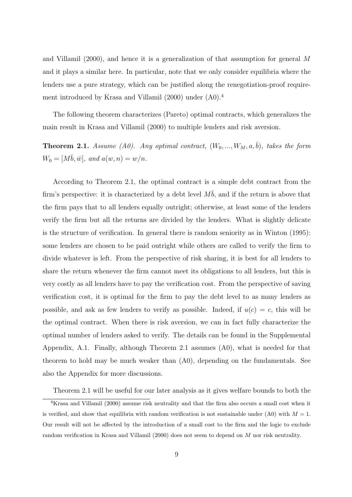and Villamil (2000), and hence it is a generalization of that assumption for general M and it plays a similar here. In particular, note that we only consider equilibria where the lenders use a pure strategy, which can be justified along the renegotiation-proof requirement introduced by Krasa and Villamil (2000) under (A0).<sup>4</sup>

The following theorem characterizes (Pareto) optimal contracts, which generalizes the main result in Krasa and Villamil (2000) to multiple lenders and risk aversion.

**Theorem 2.1.** Assume (A0). Any optimal contract,  $(W_0, ..., W_M, a, \overline{b})$ , takes the form  $W_0 = [Mb, \bar{w}], \text{ and } a(w, n) = w/n.$ 

According to Theorem 2.1, the optimal contract is a simple debt contract from the firm's perspective: it is characterized by a debt level  $M\overline{b}$ , and if the return is above that the firm pays that to all lenders equally outright; otherwise, at least some of the lenders verify the firm but all the returns are divided by the lenders. What is slightly delicate is the structure of verification. In general there is random seniority as in Winton (1995): some lenders are chosen to be paid outright while others are called to verify the firm to divide whatever is left. From the perspective of risk sharing, it is best for all lenders to share the return whenever the firm cannot meet its obligations to all lenders, but this is very costly as all lenders have to pay the verification cost. From the perspective of saving verification cost, it is optimal for the firm to pay the debt level to as many lenders as possible, and ask as few lenders to verify as possible. Indeed, if  $u(c) = c$ , this will be the optimal contract. When there is risk aversion, we can in fact fully characterize the optimal number of lenders asked to verify. The details can be found in the Supplemental Appendix, A.1. Finally, although Theorem 2.1 assumes (A0), what is needed for that theorem to hold may be much weaker than (A0), depending on the fundamentals. See also the Appendix for more discussions.

Theorem 2.1 will be useful for our later analysis as it gives welfare bounds to both the

<sup>4</sup>Krasa and Villamil (2000) assume risk neutrality and that the firm also occurs a small cost when it is verified, and show that equilibria with random verification is not sustainable under (A0) with  $M = 1$ . Our result will not be affected by the introduction of a small cost to the firm and the logic to exclude random verification in Krasa and Villamil (2000) does not seem to depend on M nor risk neutrality.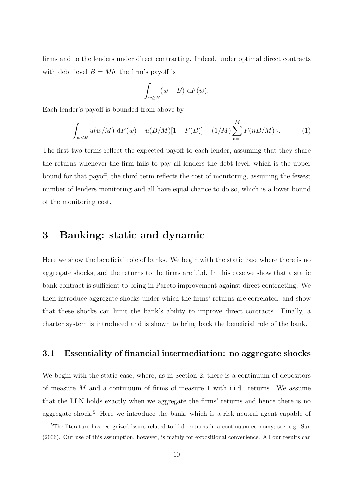firms and to the lenders under direct contracting. Indeed, under optimal direct contracts with debt level  $B = M\overline{b}$ , the firm's payoff is

$$
\int_{w \geq B} (w - B) \, \mathrm{d}F(w).
$$

Each lender's payoff is bounded from above by

$$
\int_{w < B} u(w/M) \, \mathrm{d}F(w) + u(B/M)[1 - F(B)] - (1/M) \sum_{n=1}^{M} F(nB/M)\gamma. \tag{1}
$$

The first two terms reflect the expected payoff to each lender, assuming that they share the returns whenever the firm fails to pay all lenders the debt level, which is the upper bound for that payoff, the third term reflects the cost of monitoring, assuming the fewest number of lenders monitoring and all have equal chance to do so, which is a lower bound of the monitoring cost.

# 3 Banking: static and dynamic

Here we show the beneficial role of banks. We begin with the static case where there is no aggregate shocks, and the returns to the firms are i.i.d. In this case we show that a static bank contract is sufficient to bring in Pareto improvement against direct contracting. We then introduce aggregate shocks under which the firms' returns are correlated, and show that these shocks can limit the bank's ability to improve direct contracts. Finally, a charter system is introduced and is shown to bring back the beneficial role of the bank.

## 3.1 Essentiality of financial intermediation: no aggregate shocks

We begin with the static case, where, as in Section 2, there is a continuum of depositors of measure M and a continuum of firms of measure 1 with i.i.d. returns. We assume that the LLN holds exactly when we aggregate the firms' returns and hence there is no aggregate shock.<sup>5</sup> Here we introduce the bank, which is a risk-neutral agent capable of

<sup>&</sup>lt;sup>5</sup>The literature has recognized issues related to i.i.d. returns in a continuum economy; see, e.g. Sun (2006). Our use of this assumption, however, is mainly for expositional convenience. All our results can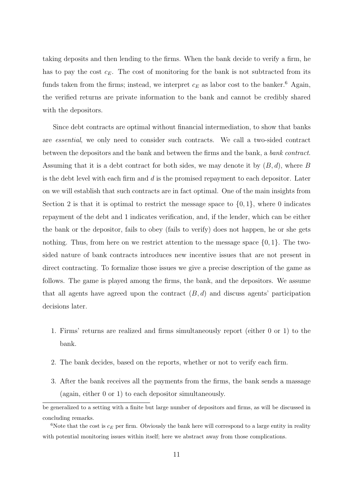taking deposits and then lending to the firms. When the bank decide to verify a firm, he has to pay the cost  $c_E$ . The cost of monitoring for the bank is not subtracted from its funds taken from the firms; instead, we interpret  $c_E$  as labor cost to the banker.<sup>6</sup> Again, the verified returns are private information to the bank and cannot be credibly shared with the depositors.

Since debt contracts are optimal without financial intermediation, to show that banks are essential, we only need to consider such contracts. We call a two-sided contract between the depositors and the bank and between the firms and the bank, a bank contract. Assuming that it is a debt contract for both sides, we may denote it by  $(B, d)$ , where B is the debt level with each firm and  $d$  is the promised repayment to each depositor. Later on we will establish that such contracts are in fact optimal. One of the main insights from Section 2 is that it is optimal to restrict the message space to  $\{0, 1\}$ , where 0 indicates repayment of the debt and 1 indicates verification, and, if the lender, which can be either the bank or the depositor, fails to obey (fails to verify) does not happen, he or she gets nothing. Thus, from here on we restrict attention to the message space  $\{0, 1\}$ . The twosided nature of bank contracts introduces new incentive issues that are not present in direct contracting. To formalize those issues we give a precise description of the game as follows. The game is played among the firms, the bank, and the depositors. We assume that all agents have agreed upon the contract  $(B, d)$  and discuss agents' participation decisions later.

- 1. Firms' returns are realized and firms simultaneously report (either 0 or 1) to the bank.
- 2. The bank decides, based on the reports, whether or not to verify each firm.
- 3. After the bank receives all the payments from the firms, the bank sends a massage (again, either 0 or 1) to each depositor simultaneously.

be generalized to a setting with a finite but large number of depositors and firms, as will be discussed in concluding remarks.

<sup>&</sup>lt;sup>6</sup>Note that the cost is  $c_E$  per firm. Obviously the bank here will correspond to a large entity in reality with potential monitoring issues within itself; here we abstract away from those complications.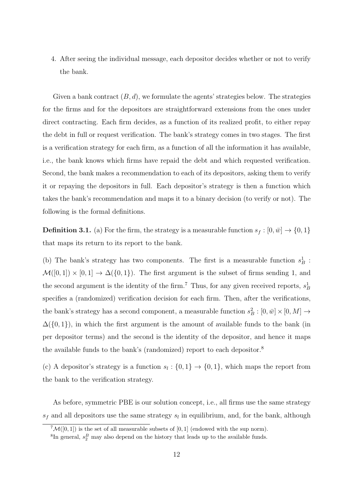4. After seeing the individual message, each depositor decides whether or not to verify the bank.

Given a bank contract  $(B, d)$ , we formulate the agents' strategies below. The strategies for the firms and for the depositors are straightforward extensions from the ones under direct contracting. Each firm decides, as a function of its realized profit, to either repay the debt in full or request verification. The bank's strategy comes in two stages. The first is a verification strategy for each firm, as a function of all the information it has available, i.e., the bank knows which firms have repaid the debt and which requested verification. Second, the bank makes a recommendation to each of its depositors, asking them to verify it or repaying the depositors in full. Each depositor's strategy is then a function which takes the bank's recommendation and maps it to a binary decision (to verify or not). The following is the formal definitions.

**Definition 3.1.** (a) For the firm, the strategy is a measurable function  $s_f : [0, \bar{w}] \rightarrow \{0, 1\}$ that maps its return to its report to the bank.

(b) The bank's strategy has two components. The first is a measurable function  $s_B^1$ :  $\mathcal{M}([0,1]) \times [0,1] \to \Delta(\{0,1\})$ . The first argument is the subset of firms sending 1, and the second argument is the identity of the firm.<sup>7</sup> Thus, for any given received reports,  $s_B^1$ specifies a (randomized) verification decision for each firm. Then, after the verifications, the bank's strategy has a second component, a measurable function  $s_B^2 : [0, \bar{w}] \times [0, M] \rightarrow$  $\Delta({0,1})$ , in which the first argument is the amount of available funds to the bank (in per depositor terms) and the second is the identity of the depositor, and hence it maps the available funds to the bank's (randomized) report to each depositor.<sup>8</sup>

(c) A depositor's strategy is a function  $s_l: \{0,1\} \to \{0,1\}$ , which maps the report from the bank to the verification strategy.

As before, symmetric PBE is our solution concept, i.e., all firms use the same strategy  $s_f$  and all depositors use the same strategy  $s_l$  in equilibrium, and, for the bank, although

 ${}^{7}M([0,1])$  is the set of all measurable subsets of [0, 1] (endowed with the sup norm).

 ${}^{8}$ In general,  $s_2^B$  may also depend on the history that leads up to the available funds.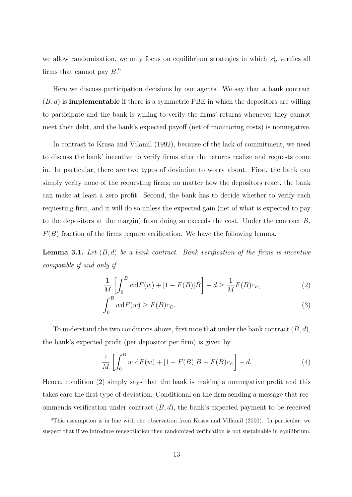we allow randomization, we only focus on equilibrium strategies in which  $s_B^1$  verifies all firms that cannot pay  $B$ <sup>9</sup>

Here we discuss participation decisions by our agents. We say that a bank contract  $(B, d)$  is **implementable** if there is a symmetric PBE in which the depositors are willing to participate and the bank is willing to verify the firms' returns whenever they cannot meet their debt, and the bank's expected payoff (net of monitoring costs) is nonnegative.

In contrast to Krasa and Vilamil (1992), because of the lack of commitment, we need to discuss the bank' incentive to verify firms after the returns realize and requests come in. In particular, there are two types of deviation to worry about. First, the bank can simply verify none of the requesting firms; no matter how the depositors react, the bank can make at least a zero profit. Second, the bank has to decide whether to verify each requesting firm, and it will do so unless the expected gain (net of what is expected to pay to the depositors at the margin) from doing so exceeds the cost. Under the contract  $B$ ,  $F(B)$  fraction of the firms require verification. We have the following lemma.

**Lemma 3.1.** Let  $(B, d)$  be a bank contract. Bank verification of the firms is incentive compatible if and only if

$$
\frac{1}{M} \left[ \int_0^B w dF(w) + [1 - F(B)]B \right] - d \ge \frac{1}{M} F(B)c_E,
$$
\n(2)

$$
\int_0^B w dF(w) \ge F(B)c_E.
$$
\n(3)

To understand the two conditions above, first note that under the bank contract  $(B, d)$ , the bank's expected profit (per depositor per firm) is given by

$$
\frac{1}{M} \left[ \int_0^B w \, dF(w) + [1 - F(B)]B - F(B)c_E \right] - d. \tag{4}
$$

Hence, condition (2) simply says that the bank is making a nonnegative profit and this takes care the first type of deviation. Conditional on the firm sending a message that recommends verification under contract  $(B, d)$ , the bank's expected payment to be received

 $9$ This assumption is in line with the observation from Krasa and Villamil (2000). In particular, we suspect that if we introduce renegotiation then randomized verification is not sustainable in equilibrium.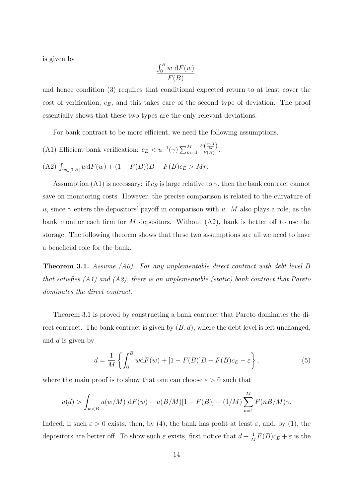is given by

$$
\frac{\int_0^B w \, \mathrm{d}F(w)}{F(B)},
$$

and hence condition (3) requires that conditional expected return to at least cover the cost of verification,  $c_E$ , and this takes care of the second type of deviation. The proof essentially shows that these two types are the only relevant deviations.

For bank contract to be more efficient, we need the following assumptions.

(A1) Efficient bank verification:  $c_E < u^{-1}(\gamma) \sum_{m=1}^{M}$  $F(\frac{mB}{M})$  $\frac{(M)}{F(B)}$ . (A2)  $\int_{w \in [0,B]} w dF(w) + (1 - F(B))B - F(B)c_E > Mr.$ 

Assumption (A1) is necessary: if  $c_E$  is large relative to  $\gamma$ , then the bank contract cannot save on monitoring costs. However, the precise comparison is related to the curvature of u, since  $\gamma$  enters the depositors' payoff in comparison with u. M also plays a role, as the bank monitor each firm for  $M$  depositors. Without  $(A2)$ , bank is better off to use the storage. The following theorem shows that these two assumptions are all we need to have a beneficial role for the bank.

**Theorem 3.1.** Assume (A0). For any implementable direct contract with debt level B that satisfies (A1) and (A2), there is an implementable (static) bank contract that Pareto dominates the direct contract.

Theorem 3.1 is proved by constructing a bank contract that Pareto dominates the direct contract. The bank contract is given by  $(B, d)$ , where the debt level is left unchanged, and d is given by

$$
d = \frac{1}{M} \left\{ \int_0^B w dF(w) + [1 - F(B)]B - F(B)c_E - \varepsilon \right\},\tag{5}
$$

where the main proof is to show that one can choose  $\varepsilon > 0$  such that

$$
u(d) > \int_{w < B} u(w/M) \, dF(w) + u(B/M)[1 - F(B)] - (1/M) \sum_{n=1}^{M} F(nB/M)\gamma.
$$

Indeed, if such  $\varepsilon > 0$  exists, then, by (4), the bank has profit at least  $\varepsilon$ , and, by (1), the depositors are better off. To show such  $\varepsilon$  exists, first notice that  $d + \frac{1}{\lambda}$  $\frac{1}{M}F(B)c_E + \varepsilon$  is the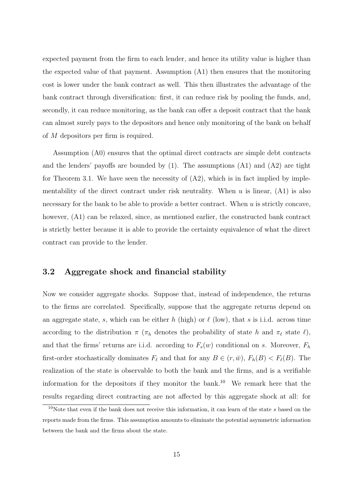expected payment from the firm to each lender, and hence its utility value is higher than the expected value of that payment. Assumption (A1) then ensures that the monitoring cost is lower under the bank contract as well. This then illustrates the advantage of the bank contract through diversification: first, it can reduce risk by pooling the funds, and, secondly, it can reduce monitoring, as the bank can offer a deposit contract that the bank can almost surely pays to the depositors and hence only monitoring of the bank on behalf of M depositors per firm is required.

Assumption (A0) ensures that the optimal direct contracts are simple debt contracts and the lenders' payoffs are bounded by  $(1)$ . The assumptions  $(A1)$  and  $(A2)$  are tight for Theorem 3.1. We have seen the necessity of  $(A2)$ , which is in fact implied by implementability of the direct contract under risk neutrality. When  $u$  is linear,  $(A1)$  is also necessary for the bank to be able to provide a better contract. When  $u$  is strictly concave, however,  $(A1)$  can be relaxed, since, as mentioned earlier, the constructed bank contract is strictly better because it is able to provide the certainty equivalence of what the direct contract can provide to the lender.

# 3.2 Aggregate shock and financial stability

Now we consider aggregate shocks. Suppose that, instead of independence, the returns to the firms are correlated. Specifically, suppose that the aggregate returns depend on an aggregate state, s, which can be either h (high) or  $\ell$  (low), that s is i.i.d. across time according to the distribution  $\pi$  ( $\pi_h$  denotes the probability of state h and  $\pi_\ell$  state  $\ell$ ), and that the firms' returns are i.i.d. according to  $F_s(w)$  conditional on s. Moreover,  $F_h$ first-order stochastically dominates  $F_{\ell}$  and that for any  $B \in (r,\bar{w})$ ,  $F_h(B) < F_{\ell}(B)$ . The realization of the state is observable to both the bank and the firms, and is a verifiable information for the depositors if they monitor the bank.<sup>10</sup> We remark here that the results regarding direct contracting are not affected by this aggregate shock at all: for

<sup>&</sup>lt;sup>10</sup>Note that even if the bank does not receive this information, it can learn of the state s based on the reports made from the firms. This assumption amounts to eliminate the potential asymmetric information between the bank and the firms about the state.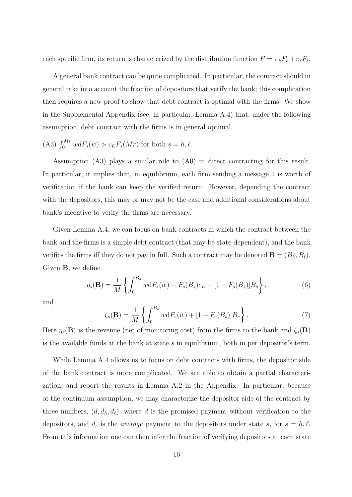each specific firm, its return is characterized by the distribution function  $F = \pi_h F_h + \pi_{\ell} F_{\ell}$ .

A general bank contract can be quite complicated. In particular, the contract should in general take into account the fraction of depositors that verify the bank; this complication then requires a new proof to show that debt contract is optimal with the firms. We show in the Supplemental Appendix (see, in particular, Lemma A.4) that, under the following assumption, debt contract with the firms is in general optimal.

(A3) 
$$
\int_0^{Mr} w dF_s(w) > c_E F_s(Mr)
$$
 for both  $s = h, \ell$ .

Assumption (A3) plays a similar role to (A0) in direct contracting for this result. In particular, it implies that, in equilibrium, each firm sending a message 1 is worth of verification if the bank can keep the verified return. However, depending the contract with the depositors, this may or may not be the case and additional considerations about bank's incentive to verify the firms are necessary.

Given Lemma A.4, we can focus on bank contracts in which the contract between the bank and the firms is a simple debt contract (that may be state-dependent), and the bank verifies the firms iff they do not pay in full. Such a contract may be denoted  $\mathbf{B} = (B_h, B_\ell)$ . Given B, we define

$$
\eta_s(\mathbf{B}) = \frac{1}{M} \left\{ \int_0^{B_s} w \mathrm{d}F_s(w) - F_s(B_s)c_E + [1 - F_s(B_s)]B_s \right\},\tag{6}
$$

and

$$
\zeta_s(\mathbf{B}) = \frac{1}{M} \left\{ \int_0^{B_s} w \mathrm{d}F_s(w) + [1 - F_s(B_s)] B_s \right\}.
$$
 (7)

Here  $\eta_s(\mathbf{B})$  is the revenue (net of monitoring cost) from the firms to the bank and  $\zeta_s(\mathbf{B})$ is the available funds at the bank at state  $s$  in equilibrium, both in per depositor's term.

While Lemma A.4 allows us to focus on debt contracts with firms, the depositor side of the bank contract is more complicated. We are able to obtain a partial characterization, and report the results in Lemma A.2 in the Appendix. In particular, because of the continuum assumption, we may characterize the depositor side of the contract by three numbers,  $(d, d_h, d_\ell)$ , where d is the promised payment without verification to the depositors, and  $d_s$  is the *average* payment to the depositors under state s, for  $s = h, \ell$ . From this information one can then infer the fraction of verifying depositors at each state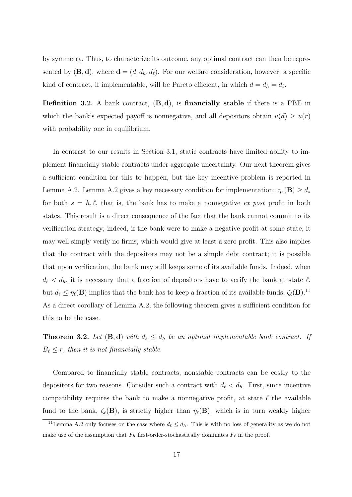by symmetry. Thus, to characterize its outcome, any optimal contract can then be represented by  $(\mathbf{B}, \mathbf{d})$ , where  $\mathbf{d} = (d, d_h, d_\ell)$ . For our welfare consideration, however, a specific kind of contract, if implementable, will be Pareto efficient, in which  $d = d_h = d_{\ell}$ .

Definition 3.2. A bank contract,  $(B, d)$ , is financially stable if there is a PBE in which the bank's expected payoff is nonnegative, and all depositors obtain  $u(d) \geq u(r)$ with probability one in equilibrium.

In contrast to our results in Section 3.1, static contracts have limited ability to implement financially stable contracts under aggregate uncertainty. Our next theorem gives a sufficient condition for this to happen, but the key incentive problem is reported in Lemma A.2. Lemma A.2 gives a key necessary condition for implementation:  $\eta_s(\mathbf{B}) \geq d_s$ for both  $s = h, \ell$ , that is, the bank has to make a nonnegative ex post profit in both states. This result is a direct consequence of the fact that the bank cannot commit to its verification strategy; indeed, if the bank were to make a negative profit at some state, it may well simply verify no firms, which would give at least a zero profit. This also implies that the contract with the depositors may not be a simple debt contract; it is possible that upon verification, the bank may still keeps some of its available funds. Indeed, when  $d_{\ell} < d_h$ , it is necessary that a fraction of depositors have to verify the bank at state  $\ell$ , but  $d_{\ell} \leq \eta_{\ell}(\mathbf{B})$  implies that the bank has to keep a fraction of its available funds,  $\zeta_{\ell}(\mathbf{B})$ .<sup>11</sup> As a direct corollary of Lemma A.2, the following theorem gives a sufficient condition for this to be the case.

**Theorem 3.2.** Let  $(\mathbf{B}, \mathbf{d})$  with  $d_\ell \leq d_h$  be an optimal implementable bank contract. If  $B_{\ell} \leq r$ , then it is not financially stable.

Compared to financially stable contracts, nonstable contracts can be costly to the depositors for two reasons. Consider such a contract with  $d_{\ell} < d_h$ . First, since incentive compatibility requires the bank to make a nonnegative profit, at state  $\ell$  the available fund to the bank,  $\zeta_{\ell}(\mathbf{B})$ , is strictly higher than  $\eta_{\ell}(\mathbf{B})$ , which is in turn weakly higher

<sup>&</sup>lt;sup>11</sup>Lemma A.2 only focuses on the case where  $d_\ell \leq d_h$ . This is with no loss of generality as we do not make use of the assumption that  $F_h$  first-order-stochastically dominates  $F_\ell$  in the proof.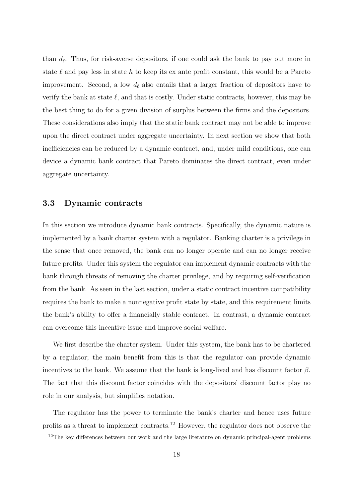than  $d_{\ell}$ . Thus, for risk-averse depositors, if one could ask the bank to pay out more in state  $\ell$  and pay less in state h to keep its ex ante profit constant, this would be a Pareto improvement. Second, a low  $d_{\ell}$  also entails that a larger fraction of depositors have to verify the bank at state  $\ell$ , and that is costly. Under static contracts, however, this may be the best thing to do for a given division of surplus between the firms and the depositors. These considerations also imply that the static bank contract may not be able to improve upon the direct contract under aggregate uncertainty. In next section we show that both inefficiencies can be reduced by a dynamic contract, and, under mild conditions, one can device a dynamic bank contract that Pareto dominates the direct contract, even under aggregate uncertainty.

## 3.3 Dynamic contracts

In this section we introduce dynamic bank contracts. Specifically, the dynamic nature is implemented by a bank charter system with a regulator. Banking charter is a privilege in the sense that once removed, the bank can no longer operate and can no longer receive future profits. Under this system the regulator can implement dynamic contracts with the bank through threats of removing the charter privilege, and by requiring self-verification from the bank. As seen in the last section, under a static contract incentive compatibility requires the bank to make a nonnegative profit state by state, and this requirement limits the bank's ability to offer a financially stable contract. In contrast, a dynamic contract can overcome this incentive issue and improve social welfare.

We first describe the charter system. Under this system, the bank has to be chartered by a regulator; the main benefit from this is that the regulator can provide dynamic incentives to the bank. We assume that the bank is long-lived and has discount factor  $\beta$ . The fact that this discount factor coincides with the depositors' discount factor play no role in our analysis, but simplifies notation.

The regulator has the power to terminate the bank's charter and hence uses future profits as a threat to implement contracts.<sup>12</sup> However, the regulator does not observe the

<sup>&</sup>lt;sup>12</sup>The key differences between our work and the large literature on dynamic principal-agent problems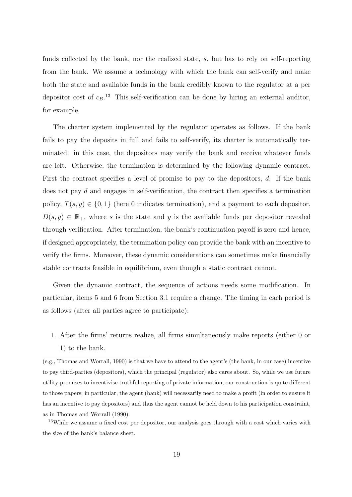funds collected by the bank, nor the realized state, s, but has to rely on self-reporting from the bank. We assume a technology with which the bank can self-verify and make both the state and available funds in the bank credibly known to the regulator at a per depositor cost of  $c_B$ .<sup>13</sup> This self-verification can be done by hiring an external auditor, for example.

The charter system implemented by the regulator operates as follows. If the bank fails to pay the deposits in full and fails to self-verify, its charter is automatically terminated: in this case, the depositors may verify the bank and receive whatever funds are left. Otherwise, the termination is determined by the following dynamic contract. First the contract specifies a level of promise to pay to the depositors, d. If the bank does not pay d and engages in self-verification, the contract then specifies a termination policy,  $T(s, y) \in \{0, 1\}$  (here 0 indicates termination), and a payment to each depositor,  $D(s, y) \in \mathbb{R}_+$ , where s is the state and y is the available funds per depositor revealed through verification. After termination, the bank's continuation payoff is zero and hence, if designed appropriately, the termination policy can provide the bank with an incentive to verify the firms. Moreover, these dynamic considerations can sometimes make financially stable contracts feasible in equilibrium, even though a static contract cannot.

Given the dynamic contract, the sequence of actions needs some modification. In particular, items 5 and 6 from Section 3.1 require a change. The timing in each period is as follows (after all parties agree to participate):

1. After the firms' returns realize, all firms simultaneously make reports (either 0 or 1) to the bank.

<sup>(</sup>e.g., Thomas and Worrall, 1990) is that we have to attend to the agent's (the bank, in our case) incentive to pay third-parties (depositors), which the principal (regulator) also cares about. So, while we use future utility promises to incentivise truthful reporting of private information, our construction is quite different to those papers; in particular, the agent (bank) will necessarily need to make a profit (in order to ensure it has an incentive to pay depositors) and thus the agent cannot be held down to his participation constraint, as in Thomas and Worrall (1990).

<sup>&</sup>lt;sup>13</sup>While we assume a fixed cost per depositor, our analysis goes through with a cost which varies with the size of the bank's balance sheet.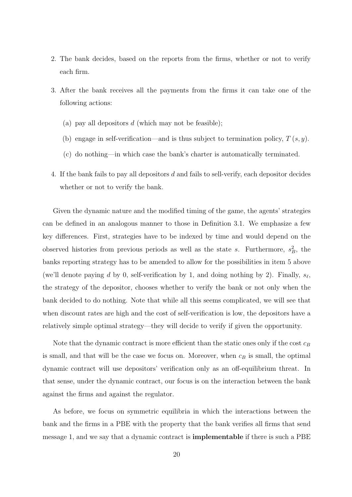- 2. The bank decides, based on the reports from the firms, whether or not to verify each firm.
- 3. After the bank receives all the payments from the firms it can take one of the following actions:
	- (a) pay all depositors  $d$  (which may not be feasible);
	- (b) engage in self-verification—and is thus subject to termination policy,  $T(s, y)$ .
	- (c) do nothing—in which case the bank's charter is automatically terminated.
- 4. If the bank fails to pay all depositors d and fails to sell-verify, each depositor decides whether or not to verify the bank.

Given the dynamic nature and the modified timing of the game, the agents' strategies can be defined in an analogous manner to those in Definition 3.1. We emphasize a few key differences. First, strategies have to be indexed by time and would depend on the observed histories from previous periods as well as the state s. Furthermore,  $s_B^2$ , the banks reporting strategy has to be amended to allow for the possibilities in item 5 above (we'll denote paying d by 0, self-verification by 1, and doing nothing by 2). Finally,  $s_{\ell}$ , the strategy of the depositor, chooses whether to verify the bank or not only when the bank decided to do nothing. Note that while all this seems complicated, we will see that when discount rates are high and the cost of self-verification is low, the depositors have a relatively simple optimal strategy—they will decide to verify if given the opportunity.

Note that the dynamic contract is more efficient than the static ones only if the cost  $c_B$ is small, and that will be the case we focus on. Moreover, when  $c_B$  is small, the optimal dynamic contract will use depositors' verification only as an off-equilibrium threat. In that sense, under the dynamic contract, our focus is on the interaction between the bank against the firms and against the regulator.

As before, we focus on symmetric equilibria in which the interactions between the bank and the firms in a PBE with the property that the bank verifies all firms that send message 1, and we say that a dynamic contract is implementable if there is such a PBE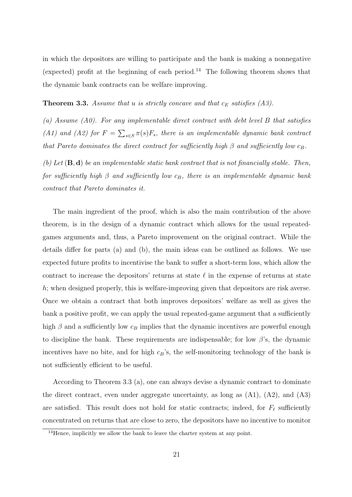in which the depositors are willing to participate and the bank is making a nonnegative (expected) profit at the beginning of each period.<sup>14</sup> The following theorem shows that the dynamic bank contracts can be welfare improving.

### **Theorem 3.3.** Assume that u is strictly concave and that  $c_E$  satisfies (A3).

(a) Assume (A0). For any implementable direct contract with debt level  $B$  that satisfies (A1) and (A2) for  $F = \sum_{s \in S} \pi(s) F_s$ , there is an implementable dynamic bank contract that Pareto dominates the direct contract for sufficiently high  $\beta$  and sufficiently low  $c_B$ .

(b) Let  $(\mathbf{B}, \mathbf{d})$  be an implementable static bank contract that is not financially stable. Then, for sufficiently high  $\beta$  and sufficiently low  $c_B$ , there is an implementable dynamic bank contract that Pareto dominates it.

The main ingredient of the proof, which is also the main contribution of the above theorem, is in the design of a dynamic contract which allows for the usual repeatedgames arguments and, thus, a Pareto improvement on the original contract. While the details differ for parts (a) and (b), the main ideas can be outlined as follows. We use expected future profits to incentivise the bank to suffer a short-term loss, which allow the contract to increase the depositors' returns at state  $\ell$  in the expense of returns at state h; when designed properly, this is welfare-improving given that depositors are risk averse. Once we obtain a contract that both improves depositors' welfare as well as gives the bank a positive profit, we can apply the usual repeated-game argument that a sufficiently high  $\beta$  and a sufficiently low  $c_B$  implies that the dynamic incentives are powerful enough to discipline the bank. These requirements are indispensable; for low  $\beta$ 's, the dynamic incentives have no bite, and for high  $c_B$ 's, the self-monitoring technology of the bank is not sufficiently efficient to be useful.

According to Theorem 3.3 (a), one can always devise a dynamic contract to dominate the direct contract, even under aggregate uncertainty, as long as  $(A1)$ ,  $(A2)$ , and  $(A3)$ are satisfied. This result does not hold for static contracts; indeed, for  $F_{\ell}$  sufficiently concentrated on returns that are close to zero, the depositors have no incentive to monitor

<sup>&</sup>lt;sup>14</sup>Hence, implicitly we allow the bank to leave the charter system at any point.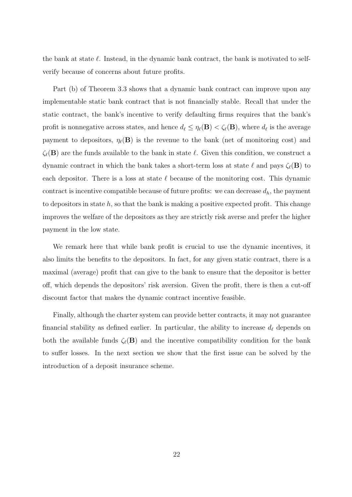the bank at state  $\ell$ . Instead, in the dynamic bank contract, the bank is motivated to selfverify because of concerns about future profits.

Part (b) of Theorem 3.3 shows that a dynamic bank contract can improve upon any implementable static bank contract that is not financially stable. Recall that under the static contract, the bank's incentive to verify defaulting firms requires that the bank's profit is nonnegative across states, and hence  $d_\ell \leq \eta_\ell(\mathbf{B}) < \zeta_\ell(\mathbf{B})$ , where  $d_\ell$  is the average payment to depositors,  $\eta_{\ell}(\mathbf{B})$  is the revenue to the bank (net of monitoring cost) and  $\zeta_{\ell}(\mathbf{B})$  are the funds available to the bank in state  $\ell$ . Given this condition, we construct a dynamic contract in which the bank takes a short-term loss at state  $\ell$  and pays  $\zeta_{\ell}(\mathbf{B})$  to each depositor. There is a loss at state  $\ell$  because of the monitoring cost. This dynamic contract is incentive compatible because of future profits: we can decrease  $d_h$ , the payment to depositors in state  $h$ , so that the bank is making a positive expected profit. This change improves the welfare of the depositors as they are strictly risk averse and prefer the higher payment in the low state.

We remark here that while bank profit is crucial to use the dynamic incentives, it also limits the benefits to the depositors. In fact, for any given static contract, there is a maximal (average) profit that can give to the bank to ensure that the depositor is better off, which depends the depositors' risk aversion. Given the profit, there is then a cut-off discount factor that makes the dynamic contract incentive feasible.

Finally, although the charter system can provide better contracts, it may not guarantee financial stability as defined earlier. In particular, the ability to increase  $d_{\ell}$  depends on both the available funds  $\zeta_{\ell}(\mathbf{B})$  and the incentive compatibility condition for the bank to suffer losses. In the next section we show that the first issue can be solved by the introduction of a deposit insurance scheme.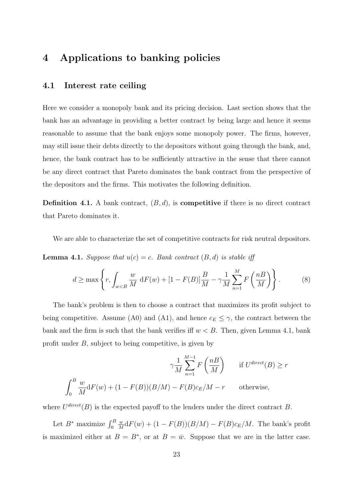# 4 Applications to banking policies

# 4.1 Interest rate ceiling

Here we consider a monopoly bank and its pricing decision. Last section shows that the bank has an advantage in providing a better contract by being large and hence it seems reasonable to assume that the bank enjoys some monopoly power. The firms, however, may still issue their debts directly to the depositors without going through the bank, and, hence, the bank contract has to be sufficiently attractive in the sense that there cannot be any direct contract that Pareto dominates the bank contract from the perspective of the depositors and the firms. This motivates the following definition.

**Definition 4.1.** A bank contract,  $(B, d)$ , is **competitive** if there is no direct contract that Pareto dominates it.

We are able to characterize the set of competitive contracts for risk neutral depositors.

**Lemma 4.1.** Suppose that  $u(c) = c$ . Bank contract  $(B, d)$  is stable iff

$$
d \ge \max\left\{r, \int_{w < B} \frac{w}{M} \, \mathrm{d}F(w) + [1 - F(B)] \frac{B}{M} - \gamma \frac{1}{M} \sum_{n=1}^{M} F\left(\frac{n}{M}\right)\right\}.\tag{8}
$$

The bank's problem is then to choose a contract that maximizes its profit subject to being competitive. Assume (A0) and (A1), and hence  $c_E \leq \gamma$ , the contract between the bank and the firm is such that the bank verifies iff  $w < B$ . Then, given Lemma 4.1, bank profit under B, subject to being competitive, is given by

$$
\gamma \frac{1}{M} \sum_{n=1}^{M-1} F\left(\frac{n}{M}\right) \quad \text{if } U^{\text{direct}}(B) \ge r
$$

$$
\int_0^B \frac{w}{M} dF(w) + (1 - F(B))(B/M) - F(B)c_E/M - r \quad \text{otherwise},
$$

where  $U^{\text{direct}}(B)$  is the expected payoff to the lenders under the direct contract B.

Let  $B^*$  maximize  $\int_0^B$ w  $\frac{w}{M} dF(w) + (1 - F(B))(B/M) - F(B)c_E/M$ . The bank's profit is maximized either at  $B = B^*$ , or at  $B = \bar{w}$ . Suppose that we are in the latter case.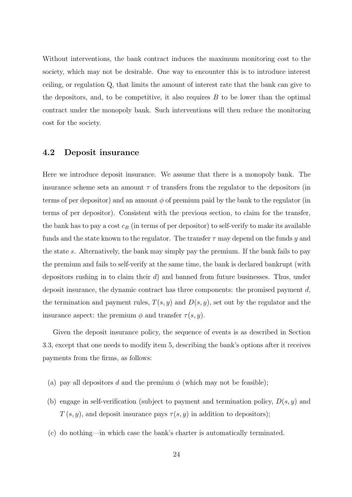Without interventions, the bank contract induces the maximum monitoring cost to the society, which may not be desirable. One way to encounter this is to introduce interest ceiling, or regulation Q, that limits the amount of interest rate that the bank can give to the depositors, and, to be competitive, it also requires  $B$  to be lower than the optimal contract under the monopoly bank. Such interventions will then reduce the monitoring cost for the society.

### 4.2 Deposit insurance

Here we introduce deposit insurance. We assume that there is a monopoly bank. The insurance scheme sets an amount  $\tau$  of transfers from the regulator to the depositors (in terms of per depositor) and an amount  $\phi$  of premium paid by the bank to the regulator (in terms of per depositor). Consistent with the previous section, to claim for the transfer, the bank has to pay a cost  $c_B$  (in terms of per depositor) to self-verify to make its available funds and the state known to the regulator. The transfer  $\tau$  may depend on the funds y and the state s. Alternatively, the bank may simply pay the premium. If the bank fails to pay the premium and fails to self-verify at the same time, the bank is declared bankrupt (with depositors rushing in to claim their d) and banned from future businesses. Thus, under deposit insurance, the dynamic contract has three components: the promised payment  $d$ , the termination and payment rules,  $T(s, y)$  and  $D(s, y)$ , set out by the regulator and the insurance aspect: the premium  $\phi$  and transfer  $\tau(s, y)$ .

Given the deposit insurance policy, the sequence of events is as described in Section 3.3, except that one needs to modify item 5, describing the bank's options after it receives payments from the firms, as follows:

- (a) pay all depositors d and the premium  $\phi$  (which may not be feasible);
- (b) engage in self-verification (subject to payment and termination policy,  $D(s, y)$  and  $T(s, y)$ , and deposit insurance pays  $\tau(s, y)$  in addition to depositors);
- (c) do nothing—in which case the bank's charter is automatically terminated.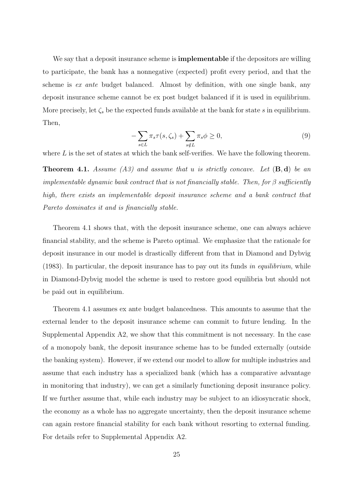We say that a deposit insurance scheme is **implementable** if the depositors are willing to participate, the bank has a nonnegative (expected) profit every period, and that the scheme is ex ante budget balanced. Almost by definition, with one single bank, any deposit insurance scheme cannot be ex post budget balanced if it is used in equilibrium. More precisely, let  $\zeta_s$  be the expected funds available at the bank for state s in equilibrium. Then,

$$
-\sum_{s\in L} \pi_s \tau(s, \zeta_s) + \sum_{s \notin L} \pi_s \phi \ge 0,
$$
\n(9)

where  $L$  is the set of states at which the bank self-verifies. We have the following theorem.

**Theorem 4.1.** Assume (A3) and assume that u is strictly concave. Let  $(\mathbf{B}, \mathbf{d})$  be an implementable dynamic bank contract that is not financially stable. Then, for  $\beta$  sufficiently high, there exists an implementable deposit insurance scheme and a bank contract that Pareto dominates it and is financially stable.

Theorem 4.1 shows that, with the deposit insurance scheme, one can always achieve financial stability, and the scheme is Pareto optimal. We emphasize that the rationale for deposit insurance in our model is drastically different from that in Diamond and Dybvig (1983). In particular, the deposit insurance has to pay out its funds in equilibrium, while in Diamond-Dybvig model the scheme is used to restore good equilibria but should not be paid out in equilibrium.

Theorem 4.1 assumes ex ante budget balancedness. This amounts to assume that the external lender to the deposit insurance scheme can commit to future lending. In the Supplemental Appendix A2, we show that this commitment is not necessary. In the case of a monopoly bank, the deposit insurance scheme has to be funded externally (outside the banking system). However, if we extend our model to allow for multiple industries and assume that each industry has a specialized bank (which has a comparative advantage in monitoring that industry), we can get a similarly functioning deposit insurance policy. If we further assume that, while each industry may be subject to an idiosyncratic shock, the economy as a whole has no aggregate uncertainty, then the deposit insurance scheme can again restore financial stability for each bank without resorting to external funding. For details refer to Supplemental Appendix A2.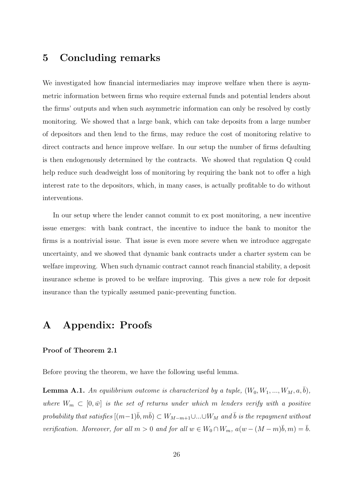# 5 Concluding remarks

We investigated how financial intermediaries may improve welfare when there is asymmetric information between firms who require external funds and potential lenders about the firms' outputs and when such asymmetric information can only be resolved by costly monitoring. We showed that a large bank, which can take deposits from a large number of depositors and then lend to the firms, may reduce the cost of monitoring relative to direct contracts and hence improve welfare. In our setup the number of firms defaulting is then endogenously determined by the contracts. We showed that regulation Q could help reduce such deadweight loss of monitoring by requiring the bank not to offer a high interest rate to the depositors, which, in many cases, is actually profitable to do without interventions.

In our setup where the lender cannot commit to ex post monitoring, a new incentive issue emerges: with bank contract, the incentive to induce the bank to monitor the firms is a nontrivial issue. That issue is even more severe when we introduce aggregate uncertainty, and we showed that dynamic bank contracts under a charter system can be welfare improving. When such dynamic contract cannot reach financial stability, a deposit insurance scheme is proved to be welfare improving. This gives a new role for deposit insurance than the typically assumed panic-preventing function.

# A Appendix: Proofs

#### Proof of Theorem 2.1

Before proving the theorem, we have the following useful lemma.

**Lemma A.1.** An equilibrium outcome is characterized by a tuple,  $(W_0, W_1, ..., W_M, a, \overline{b})$ , where  $W_m \subset [0, \bar{w}]$  is the set of returns under which m lenders verify with a positive probability that satisfies  $[(m-1)\overline{b}, m\overline{b}) \subset W_{M-m+1} \cup ... \cup W_M$  and  $\overline{b}$  is the repayment without verification. Moreover, for all  $m > 0$  and for all  $w \in W_0 \cap W_m$ ,  $a(w - (M - m)\overline{b}, m) = \overline{b}$ .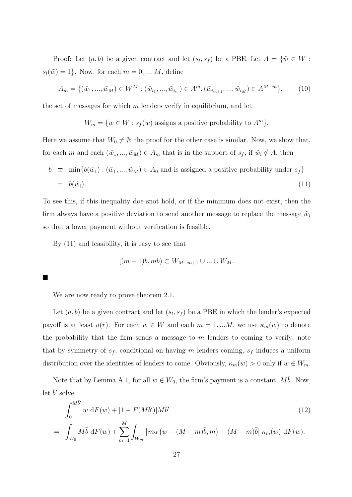Proof: Let  $(a, b)$  be a given contract and let  $(s_l, s_f)$  be a PBE. Let  $A = \{w \in W :$  $s_l(\tilde w) = 1$ . Now, for each  $m = 0, ..., M$ , define

$$
A_m = \{ (\tilde{w}_1, ..., \tilde{w}_M) \in W^M : (\tilde{w}_{i_1}, ..., \tilde{w}_{i_m}) \in A^m, (\tilde{w}_{i_{m+1}}, ..., \tilde{w}_{i_M}) \in A^{M-m} \},
$$
 (10)

the set of messages for which  $m$  lenders verify in equilibrium, and let

$$
W_m = \{ w \in W : s_f(w) \text{ assigns a positive probability to } A^m \}.
$$

Here we assume that  $W_0 \neq \emptyset$ ; the proof for the other case is similar. Now, we show that, for each m and each  $(\tilde{w}_1, ..., \tilde{w}_M) \in A_m$  that is in the support of  $s_f$ , if  $\tilde{w}_i \notin A$ , then

$$
\bar{b} \equiv \min\{b(\tilde{w}_1) : (\tilde{w}_1, ..., \tilde{w}_M) \in A_0 \text{ and is assigned a positive probability under } s_f\}
$$
  
=  $b(\tilde{w}_i).$  (11)

To see this, if this inequality doe snot hold, or if the minimum does not exist, then the firm always have a positive deviation to send another message to replace the message  $\tilde{w}_i$ so that a lower payment without verification is feasible.

By (11) and feasibility, it is easy to see that

$$
[(m-1)\overline{b}, m\overline{b}) \subset W_{M-m+1} \cup \ldots \cup W_M.
$$

■

We are now ready to prove theorem 2.1.

Let  $(a, b)$  be a given contract and let  $(s_l, s_f)$  be a PBE in which the lender's expected payoff is at least  $u(r)$ . For each  $w \in W$  and each  $m = 1, ...M$ , we use  $\kappa_m(w)$  to denote the probability that the firm sends a message to  $m$  lenders to coming to verify; note that by symmetry of  $s_f$ , conditional on having m lenders coming,  $s_f$  induces a uniform distribution over the identities of lenders to come. Obviously,  $\kappa_m(w) > 0$  only if  $w \in W_m$ .

Note that by Lemma A.1, for all  $w \in W_0$ , the firm's payment is a constant,  $M\overline{b}$ . Now, let  $\bar{b}'$  solve:

$$
\int_0^{M\bar{b}'} w \, dF(w) + [1 - F(M\bar{b}')]M\bar{b}'
$$
\n
$$
= \int_{W_0} M\bar{b} \, dF(w) + \sum_{m=1}^M \int_{W_m} [ma (w - (M - m)\bar{b}, m) + (M - m)\bar{b}] \, \kappa_m(w) \, dF(w).
$$
\n(12)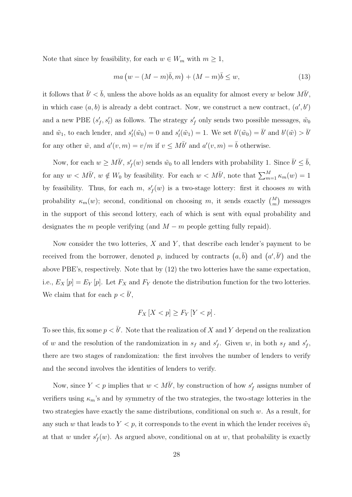Note that since by feasibility, for each  $w \in W_m$  with  $m \geq 1$ ,

$$
ma(w - (M - m)\bar{b}, m) + (M - m)\bar{b} \le w,
$$
\n(13)

it follows that  $\bar{b}' < \bar{b}$ , unless the above holds as an equality for almost every w below  $M\bar{b}'$ , in which case  $(a, b)$  is already a debt contract. Now, we construct a new contract,  $(a', b')$ and a new PBE  $(s'_f, s'_i)$  as follows. The strategy  $s'_f$  only sends two possible messages,  $\tilde{w}_0$ and  $\tilde{w}_1$ , to each lender, and  $s'_l(\tilde{w}_0) = 0$  and  $s'_l(\tilde{w}_1) = 1$ . We set  $b'(\tilde{w}_0) = \bar{b}'$  and  $b'(\tilde{w}) > \bar{b}'$ for any other  $\tilde{w}$ , and  $a'(v, m) = v/m$  if  $v \le M\bar{b}'$  and  $a'(v, m) = \bar{b}$  otherwise.

Now, for each  $w \ge M\bar{b}'$ ,  $s'_{f}(w)$  sends  $\tilde{w}_{0}$  to all lenders with probability 1. Since  $\bar{b}' \le \bar{b}$ , for any  $w < M\bar{b}'$ ,  $w \notin W_0$  by feasibility. For each  $w < M\bar{b}'$ , note that  $\sum_{m=1}^{M} \kappa_m(w) = 1$ by feasibility. Thus, for each  $m$ ,  $s'_{f}(w)$  is a two-stage lottery: first it chooses m with probability  $\kappa_m(w)$ ; second, conditional on choosing m, it sends exactly  $\binom{M}{m}$  messages in the support of this second lottery, each of which is sent with equal probability and designates the m people verifying (and  $M - m$  people getting fully repaid).

Now consider the two lotteries,  $X$  and  $Y$ , that describe each lender's payment to be received from the borrower, denoted p, induced by contracts  $(a, \bar{b})$  and  $(a', \bar{b}')$  and the above PBE's, respectively. Note that by (12) the two lotteries have the same expectation, i.e.,  $E_X[p] = E_Y[p]$ . Let  $F_X$  and  $F_Y$  denote the distribution function for the two lotteries. We claim that for each  $p < \bar{b}'$ ,

$$
F_X[X < p] \ge F_Y[Y < p].
$$

To see this, fix some  $p < \bar{b}'$ . Note that the realization of X and Y depend on the realization of w and the resolution of the randomization in  $s_f$  and  $s'_f$ . Given w, in both  $s_f$  and  $s'_f$ , there are two stages of randomization: the first involves the number of lenders to verify and the second involves the identities of lenders to verify.

Now, since  $Y < p$  implies that  $w < M\bar{b}'$ , by construction of how  $s'_f$  assigns number of verifiers using  $\kappa_m$ 's and by symmetry of the two strategies, the two-stage lotteries in the two strategies have exactly the same distributions, conditional on such  $w$ . As a result, for any such w that leads to  $Y < p$ , it corresponds to the event in which the lender receives  $\tilde{w}_1$ at that w under  $s'_{f}(w)$ . As argued above, conditional on at w, that probability is exactly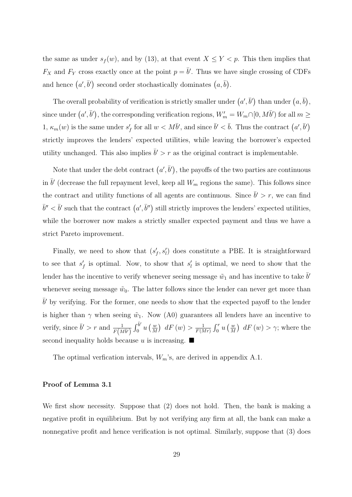the same as under  $s_f(w)$ , and by (13), at that event  $X \le Y < p$ . This then implies that  $F_X$  and  $F_Y$  cross exactly once at the point  $p = \bar{b}'$ . Thus we have single crossing of CDFs and hence  $(a', \bar{b}')$  second order stochastically dominates  $(a, \bar{b})$ .

The overall probability of verification is strictly smaller under  $(a', \bar{b}')$  than under  $(a, \bar{b})$ , since under  $(a', \bar{b}')$ , the corresponding verification regions,  $W'_m = W_m \cap [0, M\bar{b}')$  for all  $m \geq$ 1,  $\kappa_m(w)$  is the same under  $s'_f$  for all  $w < M\bar{b}'$ , and since  $\bar{b}' < \bar{b}$ . Thus the contract  $(a', \bar{b}')$ strictly improves the lenders' expected utilities, while leaving the borrower's expected utility unchanged. This also implies  $\bar{b}' > r$  as the original contract is implementable.

Note that under the debt contract  $(a', \bar{b}')$ , the payoffs of the two parties are continuous in  $\bar{b}'$  (decrease the full repayment level, keep all  $W_m$  regions the same). This follows since the contract and utility functions of all agents are continuous. Since  $\bar{b}' > r$ , we can find  $\bar{b}'' < \bar{b}'$  such that the contract  $(a', \bar{b}'')$  still strictly improves the lenders' expected utilities, while the borrower now makes a strictly smaller expected payment and thus we have a strict Pareto improvement.

Finally, we need to show that  $(s'_f, s'_i)$  does constitute a PBE. It is straightforward to see that  $s'_{f}$  is optimal. Now, to show that  $s'_{l}$  is optimal, we need to show that the lender has the incentive to verify whenever seeing message  $\tilde{w}_1$  and has incentive to take  $\bar{b}'$ whenever seeing message  $\tilde{w}_0$ . The latter follows since the lender can never get more than  $\bar{b}'$  by verifying. For the former, one needs to show that the expected payoff to the lender is higher than  $\gamma$  when seeing  $\tilde{w}_1$ . Now (A0) guarantees all lenders have an incentive to verify, since  $\bar{b}' > r$  and  $\frac{1}{F(M\bar{b}')}\int_0^{\bar{b}'}$  $\int_0^{b'} u\left(\frac{w}{M}\right)$  $\frac{w}{M}$ )  $dF(w) > \frac{1}{F(N)}$  $\frac{1}{F(Mr)}\int_0^r u\left(\frac{u}{M}\right)$  $\frac{w}{M}$ )  $dF(w) > \gamma$ ; where the second inequality holds because u is increasing.  $\blacksquare$ 

The optimal verfication intervals,  $W_m$ 's, are derived in appendix A.1.

### Proof of Lemma 3.1

We first show necessity. Suppose that (2) does not hold. Then, the bank is making a negative profit in equilibrium. But by not verifying any firm at all, the bank can make a nonnegative profit and hence verification is not optimal. Similarly, suppose that (3) does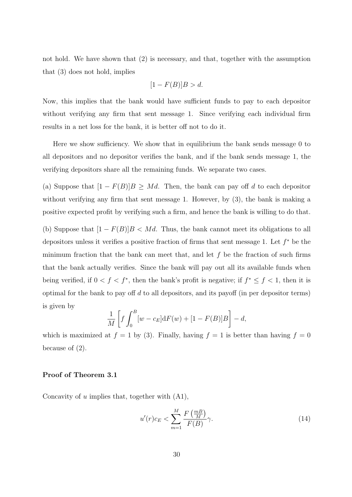not hold. We have shown that (2) is necessary, and that, together with the assumption that (3) does not hold, implies

$$
[1 - F(B)]B > d.
$$

Now, this implies that the bank would have sufficient funds to pay to each depositor without verifying any firm that sent message 1. Since verifying each individual firm results in a net loss for the bank, it is better off not to do it.

Here we show sufficiency. We show that in equilibrium the bank sends message 0 to all depositors and no depositor verifies the bank, and if the bank sends message 1, the verifying depositors share all the remaining funds. We separate two cases.

(a) Suppose that  $[1 - F(B)]B \geq Md$ . Then, the bank can pay off d to each depositor without verifying any firm that sent message 1. However, by  $(3)$ , the bank is making a positive expected profit by verifying such a firm, and hence the bank is willing to do that.

(b) Suppose that  $[1 - F(B)]B < Md$ . Thus, the bank cannot meet its obligations to all depositors unless it verifies a positive fraction of firms that sent message 1. Let  $f^*$  be the minimum fraction that the bank can meet that, and let  $f$  be the fraction of such firms that the bank actually verifies. Since the bank will pay out all its available funds when being verified, if  $0 < f < f^*$ , then the bank's profit is negative; if  $f^* \leq f < 1$ , then it is optimal for the bank to pay off  $d$  to all depositors, and its payoff (in per depositor terms) is given by

$$
\frac{1}{M}\left[f\int_0^B [w-c_E]dF(w) + [1 - F(B)]B\right] - d,
$$

which is maximized at  $f = 1$  by (3). Finally, having  $f = 1$  is better than having  $f = 0$ because of (2).

#### Proof of Theorem 3.1

Concavity of  $u$  implies that, together with  $(A1)$ ,

$$
u'(r)c_E < \sum_{m=1}^{M} \frac{F\left(\frac{m}{M}\right)}{F(B)} \gamma.
$$
\n(14)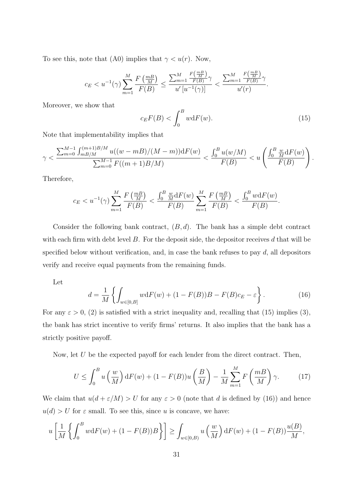To see this, note that (A0) implies that  $\gamma < u(r)$ . Now,

$$
c_E < u^{-1}(\gamma) \sum_{m=1}^M \frac{F\left(\frac{m}{M}\right)}{F(B)} \le \frac{\sum_{m=1}^M \frac{F\left(\frac{m}{M}\right)}{F(B)}\gamma}{u'\left[u^{-1}(\gamma)\right]} < \frac{\sum_{m=1}^M \frac{F\left(\frac{m}{M}\right)}{F(B)}\gamma}{u'(r)}.
$$

Moreover, we show that

$$
c_E F(B) < \int_0^B w \, \mathrm{d}F(w). \tag{15}
$$

Note that implementability implies that

$$
\gamma < \frac{\sum_{m=0}^{M-1} \int_{m \to M}^{(m+1)B/M} u((w-mB)/(M-m)) \mathrm{d}F(w)}{\sum_{m=0}^{M-1} F((m+1)B/M)} < \frac{\int_0^B u(w/M)}{F(B)} < u\left(\frac{\int_0^B \frac{w}{M} \mathrm{d}F(w)}{F(B)}\right).
$$

Therefore,

$$
c_E < u^{-1}(\gamma) \sum_{m=1}^M \frac{F\left(\frac{mB}{M}\right)}{F(B)} < \frac{\int_0^B \frac{w}{M} dF(w)}{F(B)} \sum_{m=1}^M \frac{F\left(\frac{mB}{M}\right)}{F(B)} < \frac{\int_0^B w dF(w)}{F(B)}.
$$

Consider the following bank contract,  $(B, d)$ . The bank has a simple debt contract with each firm with debt level  $B$ . For the deposit side, the depositor receives  $d$  that will be specified below without verification, and, in case the bank refuses to pay  $d$ , all depositors verify and receive equal payments from the remaining funds.

Let

$$
d = \frac{1}{M} \left\{ \int_{w \in [0,B]} w dF(w) + (1 - F(B))B - F(B)c_E - \varepsilon \right\}.
$$
 (16)

For any  $\varepsilon > 0$ , (2) is satisfied with a strict inequality and, recalling that (15) implies (3), the bank has strict incentive to verify firms' returns. It also implies that the bank has a strictly positive payoff.

Now, let U be the expected payoff for each lender from the direct contract. Then,

$$
U \le \int_0^B u\left(\frac{w}{M}\right) dF(w) + (1 - F(B))u\left(\frac{B}{M}\right) - \frac{1}{M} \sum_{m=1}^M F\left(\frac{m}{M}\right) \gamma. \tag{17}
$$

We claim that  $u(d + \varepsilon/M) > U$  for any  $\varepsilon > 0$  (note that d is defined by (16)) and hence  $u(d) > U$  for  $\varepsilon$  small. To see this, since u is concave, we have:

$$
u\left[\frac{1}{M}\left\{\int_0^B w dF(w) + (1 - F(B))B\right\}\right] \ge \int_{w \in [0,B)} u\left(\frac{w}{M}\right) dF(w) + (1 - F(B))\frac{u(B)}{M},
$$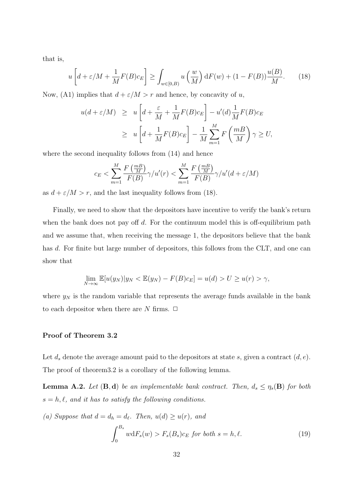that is,

$$
u\left[d+\varepsilon/M + \frac{1}{M}F(B)c_E\right] \ge \int_{w\in[0,B)} u\left(\frac{w}{M}\right) dF(w) + (1 - F(B))\frac{u(B)}{M}.\tag{18}
$$

Now, (A1) implies that  $d + \varepsilon/M > r$  and hence, by concavity of u,

$$
u(d + \varepsilon/M) \geq u \left[ d + \frac{\varepsilon}{M} + \frac{1}{M} F(B) c_E \right] - u'(d) \frac{1}{M} F(B) c_E
$$
  
 
$$
\geq u \left[ d + \frac{1}{M} F(B) c_E \right] - \frac{1}{M} \sum_{m=1}^{M} F\left(\frac{m}{M}\right) \gamma \geq U,
$$

where the second inequality follows from  $(14)$  and hence

$$
c_E < \sum_{m=1}^{M} \frac{F\left(\frac{mB}{M}\right)}{F(B)} \gamma / u'(r) < \sum_{m=1}^{M} \frac{F\left(\frac{mB}{M}\right)}{F(B)} \gamma / u'(d + \varepsilon / M)
$$

as  $d + \varepsilon/M > r$ , and the last inequality follows from (18).

Finally, we need to show that the depositors have incentive to verify the bank's return when the bank does not pay off  $d$ . For the continuum model this is off-equilibrium path and we assume that, when receiving the message 1, the depositors believe that the bank has d. For finite but large number of depositors, this follows from the CLT, and one can show that

$$
\lim_{N \to \infty} \mathbb{E}[u(y_N)|y_N < \mathbb{E}(y_N) - F(B)c_E] = u(d) > U \ge u(r) > \gamma,
$$

where  $y_N$  is the random variable that represents the average funds available in the bank to each depositor when there are N firms.  $\Box$ 

### Proof of Theorem 3.2

Let  $d_s$  denote the average amount paid to the depositors at state s, given a contract  $(d, e)$ . The proof of theorem3.2 is a corollary of the following lemma.

**Lemma A.2.** Let  $(\mathbf{B}, \mathbf{d})$  be an implementable bank contract. Then,  $d_s \leq \eta_s(\mathbf{B})$  for both  $s = h, \ell$ , and it has to satisfy the following conditions.

(a) Suppose that 
$$
d = d_h = d_\ell
$$
. Then,  $u(d) \ge u(r)$ , and  
\n
$$
\int_0^{B_s} w dF_s(w) > F_s(B_s)c_E \text{ for both } s = h, \ell.
$$
\n(19)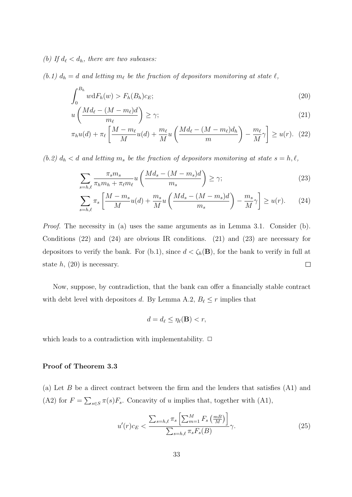(b) If  $d_{\ell} < d_h$ , there are two subcases:

(b.1)  $d_h = d$  and letting  $m_\ell$  be the fraction of depositors monitoring at state  $\ell$ ,

$$
\int_0^{B_h} w \mathrm{d}F_h(w) > F_h(B_h)c_E; \tag{20}
$$

$$
u\left(\frac{Md_{\ell} - (M - m_{\ell})d}{m_{\ell}}\right) \ge \gamma;
$$
\n(21)

$$
\pi_h u(d) + \pi_\ell \left[ \frac{M - m_\ell}{M} u(d) + \frac{m_\ell}{M} u \left( \frac{M d_\ell - (M - m_\ell) d_h}{m} \right) - \frac{m_\ell}{M} \gamma \right] \ge u(r). \tag{22}
$$

(b.2)  $d_h < d$  and letting  $m_s$  be the fraction of depositors monitoring at state  $s = h, \ell$ ,

$$
\sum_{s=h,\ell} \frac{\pi_s m_s}{\pi_h m_h + \pi_\ell m_\ell} u \left( \frac{M d_s - (M - m_s) d}{m_s} \right) \ge \gamma; \tag{23}
$$

$$
\sum_{s=h,\ell} \pi_s \left[ \frac{M-m_s}{M} u(d) + \frac{m_s}{M} u \left( \frac{M d_s - (M-m_s) d}{m_s} \right) - \frac{m_s}{M} \gamma \right] \ge u(r). \tag{24}
$$

Proof. The necessity in (a) uses the same arguments as in Lemma 3.1. Consider (b). Conditions (22) and (24) are obvious IR conditions. (21) and (23) are necessary for depositors to verify the bank. For (b.1), since  $d < \zeta_h(\mathbf{B})$ , for the bank to verify in full at state  $h$ , (20) is necessary.  $\Box$ 

Now, suppose, by contradiction, that the bank can offer a financially stable contract with debt level with depositors d. By Lemma A.2,  $B_{\ell} \leq r$  implies that

$$
d = d_{\ell} \le \eta_{\ell}(\mathbf{B}) < r,
$$

which leads to a contradiction with implementability.  $\Box$ 

#### Proof of Theorem 3.3

(a) Let  $B$  be a direct contract between the firm and the lenders that satisfies  $(A1)$  and (A2) for  $F = \sum_{s \in S} \pi(s) F_s$ . Concavity of u implies that, together with (A1),

$$
u'(r)c_E < \frac{\sum_{s=h,\ell} \pi_s \left[\sum_{m=1}^M F_s\left(\frac{m}{M}\right)\right]}{\sum_{s=h,\ell} \pi_s F_s(B)} \gamma.
$$
 (25)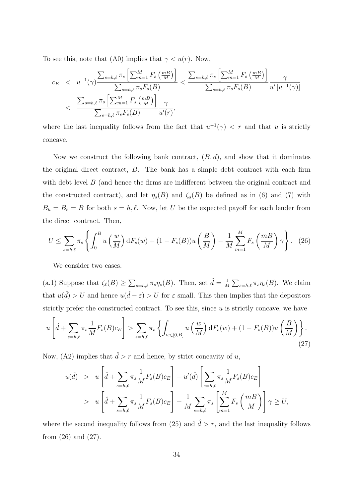To see this, note that (A0) implies that  $\gamma < u(r)$ . Now,

$$
c_E \quad < \quad u^{-1}(\gamma) \frac{\sum_{s=h,\ell} \pi_s \left[ \sum_{m=1}^M F_s \left( \frac{m}{M} \right) \right]}{\sum_{s=h,\ell} \pi_s F_s(B)} < \frac{\sum_{s=h,\ell} \pi_s \left[ \sum_{m=1}^M F_s \left( \frac{m}{M} \right) \right]}{\sum_{s=h,\ell} \pi_s F_s(B)} \frac{\gamma}{u' \left[ u^{-1}(\gamma) \right]} \\
&< \frac{\sum_{s=h,\ell} \pi_s \left[ \sum_{m=1}^M F_s \left( \frac{m}{M} \right) \right]}{\sum_{s=h,\ell} \pi_s F_s(B)} \frac{\gamma}{u'(r)},
$$

where the last inequality follows from the fact that  $u^{-1}(\gamma) < r$  and that u is strictly concave.

Now we construct the following bank contract,  $(B, d)$ , and show that it dominates the original direct contract, B. The bank has a simple debt contract with each firm with debt level B (and hence the firms are indifferent between the original contract and the constructed contract), and let  $\eta_s(B)$  and  $\zeta_s(B)$  be defined as in (6) and (7) with  $B_h = B_\ell = B$  for both  $s = h, \ell$ . Now, let U be the expected payoff for each lender from the direct contract. Then,

$$
U \le \sum_{s=h,\ell} \pi_s \left\{ \int_0^B u\left(\frac{w}{M}\right) \mathrm{d}F_s(w) + (1 - F_s(B))u\left(\frac{B}{M}\right) - \frac{1}{M} \sum_{m=1}^M F_s\left(\frac{m}{M}\right) \gamma \right\}.
$$
 (26)

We consider two cases.

(a.1) Suppose that  $\zeta_{\ell}(B) \geq \sum_{s=h,\ell} \pi_s \eta_s(B)$ . Then, set  $\hat{d} = \frac{1}{h}$  $\frac{1}{M} \sum_{s=h,\ell} \pi_s \eta_s(B)$ . We claim that  $u(\hat{d}) > U$  and hence  $u(\hat{d} - \varepsilon) > U$  for  $\varepsilon$  small. This then implies that the depositors strictly prefer the constructed contract. To see this, since  $u$  is strictly concave, we have

$$
u\left[\hat{d} + \sum_{s=h,\ell} \pi_s \frac{1}{M} F_s(B) c_E\right] > \sum_{s=h,\ell} \pi_s \left\{ \int_{w \in [0,B]} u\left(\frac{w}{M}\right) dF_s(w) + (1 - F_s(B)) u\left(\frac{B}{M}\right) \right\}.
$$
\n(27)

Now, (A2) implies that  $\hat{d} > r$  and hence, by strict concavity of u,

$$
u(\hat{d}) > u \left[ \hat{d} + \sum_{s=h,\ell} \pi_s \frac{1}{M} F_s(B) c_E \right] - u'(\hat{d}) \left[ \sum_{s=h,\ell} \pi_s \frac{1}{M} F_s(B) c_E \right]
$$
  
> 
$$
u \left[ \hat{d} + \sum_{s=h,\ell} \pi_s \frac{1}{M} F_s(B) c_E \right] - \frac{1}{M} \sum_{s=h,\ell} \pi_s \left[ \sum_{m=1}^M F_s \left( \frac{m}{M} \right) \right] \gamma \ge U,
$$

where the second inequality follows from (25) and  $\hat{d} > r$ , and the last inequality follows from (26) and (27).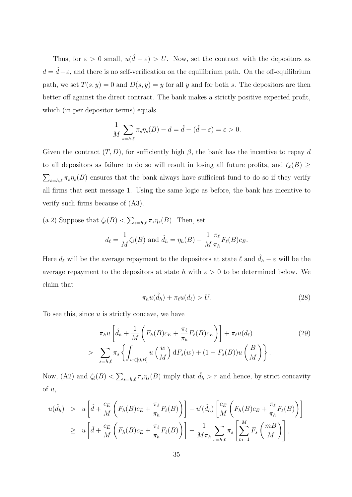Thus, for  $\varepsilon > 0$  small,  $u(\hat{d} - \varepsilon) > U$ . Now, set the contract with the depositors as  $d = \hat{d} - \varepsilon$ , and there is no self-verification on the equilibrium path. On the off-equilibrium path, we set  $T(s, y) = 0$  and  $D(s, y) = y$  for all y and for both s. The depositors are then better off against the direct contract. The bank makes a strictly positive expected profit, which (in per depositor terms) equals

$$
\frac{1}{M} \sum_{s=h,\ell} \pi_s \eta_s(B) - d = \hat{d} - (\hat{d} - \varepsilon) = \varepsilon > 0.
$$

Given the contract  $(T, D)$ , for sufficiently high  $\beta$ , the bank has the incentive to repay d to all depositors as failure to do so will result in losing all future profits, and  $\zeta_{\ell}(B) \geq$  $\sum_{s=h,\ell} \pi_s \eta_s(B)$  ensures that the bank always have sufficient fund to do so if they verify all firms that sent message 1. Using the same logic as before, the bank has incentive to verify such firms because of (A3).

(a.2) Suppose that  $\zeta_{\ell}(B) < \sum_{s=h,\ell} \pi_s \eta_s(B)$ . Then, set

$$
d_{\ell} = \frac{1}{M} \zeta_{\ell}(B)
$$
 and  $\hat{d}_{h} = \eta_{h}(B) - \frac{1}{M} \frac{\pi_{\ell}}{\pi_{h}} F_{\ell}(B) c_{E}$ .

Here  $d_{\ell}$  will be the average repayment to the depositors at state  $\ell$  and  $\hat{d}_h - \varepsilon$  will be the average repayment to the depositors at state h with  $\varepsilon > 0$  to be determined below. We claim that

$$
\pi_h u(\hat{d}_h) + \pi_\ell u(d_\ell) > U. \tag{28}
$$

To see this, since  $u$  is strictly concave, we have

$$
\pi_h u \left[ \hat{d}_h + \frac{1}{M} \left( F_h(B)c_E + \frac{\pi_\ell}{\pi_h} F_\ell(B)c_E \right) \right] + \pi_\ell u(d_\ell) \tag{29}
$$
\n
$$
> \sum_{s=h,\ell} \pi_s \left\{ \int_{w \in [0,B]} u\left(\frac{w}{M}\right) dF_s(w) + (1 - F_s(B))u\left(\frac{B}{M}\right) \right\}.
$$

Now, (A2) and  $\zeta_{\ell}(B) < \sum_{s=h,\ell} \pi_s \eta_s(B)$  imply that  $\hat{d}_h > r$  and hence, by strict concavity of u,

$$
u(\hat{d}_h) > u \left[ \hat{d} + \frac{c_E}{M} \left( F_h(B)c_E + \frac{\pi_\ell}{\pi_h} F_\ell(B) \right) \right] - u'(\hat{d}_h) \left[ \frac{c_E}{M} \left( F_h(B)c_E + \frac{\pi_\ell}{\pi_h} F_\ell(B) \right) \right]
$$
  

$$
\geq u \left[ \hat{d} + \frac{c_E}{M} \left( F_h(B)c_E + \frac{\pi_\ell}{\pi_h} F_\ell(B) \right) \right] - \frac{1}{M\pi_h} \sum_{s=h,\ell} \pi_s \left[ \sum_{m=1}^M F_s \left( \frac{m}{M} \right) \right],
$$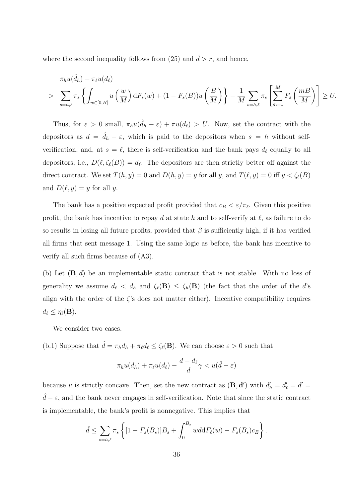where the second inequality follows from (25) and  $\hat{d} > r$ , and hence,

$$
\pi_h u(\hat{d}_h) + \pi_\ell u(d_\ell)
$$
\n
$$
> \sum_{s=h,\ell} \pi_s \left\{ \int_{w \in [0,B]} u\left(\frac{w}{M}\right) dF_s(w) + (1 - F_s(B))u\left(\frac{B}{M}\right) \right\} - \frac{1}{M} \sum_{s=h,\ell} \pi_s \left[ \sum_{m=1}^M F_s\left(\frac{m}{M}\right) \right] \ge U.
$$

Thus, for  $\varepsilon > 0$  small,  $\pi_h u(\hat{d}_h - \varepsilon) + \pi u(d_\ell) > U$ . Now, set the contract with the depositors as  $d = \hat{d}_h - \varepsilon$ , which is paid to the depositors when  $s = h$  without selfverification, and, at  $s = \ell$ , there is self-verification and the bank pays  $d_{\ell}$  equally to all depositors; i.e.,  $D(\ell, \zeta_{\ell}(B)) = d_{\ell}$ . The depositors are then strictly better off against the direct contract. We set  $T(h, y) = 0$  and  $D(h, y) = y$  for all y, and  $T(\ell, y) = 0$  iff  $y < \zeta_{\ell}(B)$ and  $D(\ell, y) = y$  for all y.

The bank has a positive expected profit provided that  $c_B < \varepsilon/\pi_{\ell}$ . Given this positive profit, the bank has incentive to repay d at state h and to self-verify at  $\ell$ , as failure to do so results in losing all future profits, provided that  $\beta$  is sufficiently high, if it has verified all firms that sent message 1. Using the same logic as before, the bank has incentive to verify all such firms because of (A3).

(b) Let  $(\mathbf{B}, d)$  be an implementable static contract that is not stable. With no loss of generality we assume  $d_{\ell} < d_h$  and  $\zeta_{\ell}(\mathbf{B}) \leq \zeta_h(\mathbf{B})$  (the fact that the order of the d's align with the order of the  $\zeta$ 's does not matter either). Incentive compatibility requires  $d_{\ell} \leq \eta_{\ell}(\mathbf{B}).$ 

We consider two cases.

(b.1) Suppose that  $\hat{d} = \pi_h d_h + \pi_\ell d_\ell \leq \zeta_\ell(\mathbf{B})$ . We can choose  $\varepsilon > 0$  such that

$$
\pi_h u(d_h) + \pi_\ell u(d_\ell) - \frac{d - d_\ell}{d} \gamma < u(\hat{d} - \varepsilon)
$$

because u is strictly concave. Then, set the new contract as  $(\mathbf{B}, \mathbf{d}')$  with  $d'_h = d'_e = d'$  $\hat{d} - \varepsilon$ , and the bank never engages in self-verification. Note that since the static contract is implementable, the bank's profit is nonnegative. This implies that

$$
\hat{d} \leq \sum_{s=h,\ell} \pi_s \left\{ [1 - F_s(B_s)] B_s + \int_0^{B_s} w d\mathrm{d}F_\ell(w) - F_s(B_s) c_E \right\}.
$$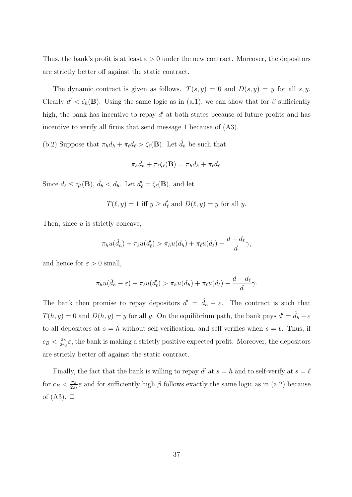Thus, the bank's profit is at least  $\varepsilon > 0$  under the new contract. Moreover, the depositors are strictly better off against the static contract.

The dynamic contract is given as follows.  $T(s, y) = 0$  and  $D(s, y) = y$  for all s, y. Clearly  $d' < \zeta_h(\mathbf{B})$ . Using the same logic as in (a.1), we can show that for  $\beta$  sufficiently high, the bank has incentive to repay  $d'$  at both states because of future profits and has incentive to verify all firms that send message 1 because of (A3).

(b.2) Suppose that  $\pi_h d_h + \pi_\ell d_\ell > \zeta_\ell(\mathbf{B})$ . Let  $\hat{d}_h$  be such that

$$
\pi_h \hat{d}_h + \pi_\ell \zeta_\ell(\mathbf{B}) = \pi_h d_h + \pi_\ell d_\ell.
$$

Since  $d_{\ell} \leq \eta_{\ell}(\mathbf{B})$ ,  $\hat{d}_h < d_h$ . Let  $d'_{\ell} = \zeta_{\ell}(\mathbf{B})$ , and let

$$
T(\ell, y) = 1 \text{ iff } y \ge d'_{\ell} \text{ and } D(\ell, y) = y \text{ for all } y.
$$

Then, since  $u$  is strictly concave,

$$
\pi_h u(\hat{d}_h) + \pi_\ell u(d'_\ell) > \pi_h u(d_h) + \pi_\ell u(d_\ell) - \frac{d - d_\ell}{d} \gamma,
$$

and hence for  $\varepsilon > 0$  small,

$$
\pi_h u(\hat{d}_h - \varepsilon) + \pi_\ell u(d'_\ell) > \pi_h u(d_h) + \pi_\ell u(d_\ell) - \frac{d - d_\ell}{d} \gamma.
$$

The bank then promise to repay depositors  $d' = \hat{d}_h - \varepsilon$ . The contract is such that  $T(h, y) = 0$  and  $D(h, y) = y$  for all y. On the equilibrium path, the bank pays  $d' = \hat{d}_h - \varepsilon$ to all depositors at  $s = h$  without self-verification, and self-verifies when  $s = \ell$ . Thus, if  $c_B < \frac{\pi_h}{2\pi h}$  $\frac{\pi_h}{2\pi_\ell} \varepsilon$ , the bank is making a strictly positive expected profit. Moreover, the depositors are strictly better off against the static contract.

Finally, the fact that the bank is willing to repay d' at  $s = h$  and to self-verify at  $s = \ell$ for  $c_B < \frac{\pi_h}{2\pi h}$  $\frac{\pi_h}{2\pi_{\ell}}\epsilon$  and for sufficiently high  $\beta$  follows exactly the same logic as in (a.2) because of  $(A3)$ .  $\Box$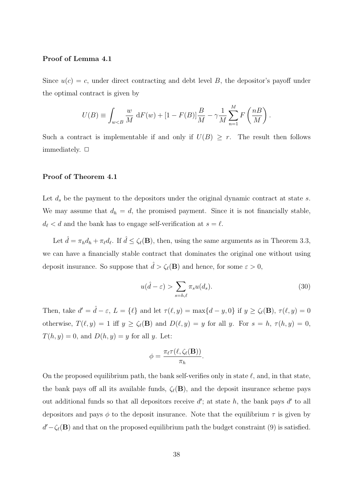#### Proof of Lemma 4.1

Since  $u(c) = c$ , under direct contracting and debt level B, the depositor's payoff under the optimal contract is given by

$$
U(B) \equiv \int_{w < B} \frac{w}{M} \, dF(w) + [1 - F(B)] \frac{B}{M} - \gamma \frac{1}{M} \sum_{n=1}^{M} F\left(\frac{n}{M}\right).
$$

Such a contract is implementable if and only if  $U(B) \geq r$ . The result then follows immediately.  $\Box$ 

#### Proof of Theorem 4.1

Let  $d_s$  be the payment to the depositors under the original dynamic contract at state s. We may assume that  $d_h = d$ , the promised payment. Since it is not financially stable,  $d_{\ell} < d$  and the bank has to engage self-verification at  $s = \ell$ .

Let  $\hat{d} = \pi_h d_h + \pi_\ell d_\ell$ . If  $\hat{d} \leq \zeta_\ell(\mathbf{B})$ , then, using the same arguments as in Theorem 3.3, we can have a financially stable contract that dominates the original one without using deposit insurance. So suppose that  $\hat{d} > \zeta_{\ell}(\mathbf{B})$  and hence, for some  $\varepsilon > 0$ ,

$$
u(\hat{d} - \varepsilon) > \sum_{s=h,\ell} \pi_s u(d_s).
$$
\n(30)

Then, take  $d' = \hat{d} - \varepsilon$ ,  $L = \{\ell\}$  and let  $\tau(\ell, y) = \max\{d - y, 0\}$  if  $y \geq \zeta_{\ell}(\mathbf{B})$ ,  $\tau(\ell, y) = 0$ otherwise,  $T(\ell, y) = 1$  iff  $y \ge \zeta_{\ell}(\mathbf{B})$  and  $D(\ell, y) = y$  for all y. For  $s = h, \tau(h, y) = 0$ ,  $T(h, y) = 0$ , and  $D(h, y) = y$  for all y. Let:

$$
\phi = \frac{\pi_{\ell} \tau(\ell, \zeta_{\ell}(\mathbf{B}))}{\pi_h}.
$$

On the proposed equilibrium path, the bank self-verifies only in state  $\ell$ , and, in that state, the bank pays off all its available funds,  $\zeta_{\ell}(\mathbf{B})$ , and the deposit insurance scheme pays out additional funds so that all depositors receive  $d'$ ; at state h, the bank pays  $d'$  to all depositors and pays  $\phi$  to the deposit insurance. Note that the equilibrium  $\tau$  is given by  $d' - \zeta_{\ell}(\mathbf{B})$  and that on the proposed equilibrium path the budget constraint (9) is satisfied.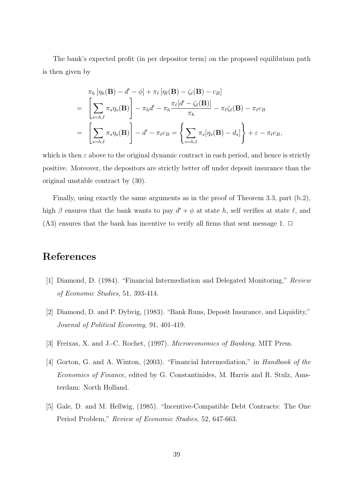The bank's expected profit (in per depositor term) on the proposed equilibrium path is then given by

$$
\pi_h \left[ \eta_h(\mathbf{B}) - d' - \phi \right] + \pi_\ell \left[ \eta_\ell(\mathbf{B}) - \zeta_\ell(\mathbf{B}) - c_B \right]
$$
\n
$$
= \left[ \sum_{s=h,\ell} \pi_s \eta_s(\mathbf{B}) \right] - \pi_h d' - \pi_h \frac{\pi_\ell [d' - \zeta_\ell(\mathbf{B})]}{\pi_h} - \pi_\ell \zeta_\ell(\mathbf{B}) - \pi_\ell c_B
$$
\n
$$
= \left[ \sum_{s=h,\ell} \pi_s \eta_s(\mathbf{B}) \right] - d' - \pi_\ell c_B = \left\{ \sum_{s=h,\ell} \pi_s [\eta_s(\mathbf{B}) - d_s] \right\} + \varepsilon - \pi_\ell c_B,
$$

which is then  $\varepsilon$  above to the original dynamic contract in each period, and hence is strictly positive. Moreover, the depositors are strictly better off under deposit insurance than the original unstable contract by (30).

Finally, using exactly the same arguments as in the proof of Theorem 3.3, part (b.2), high  $\beta$  ensures that the bank wants to pay  $d' + \phi$  at state h, self verifies at state  $\ell$ , and (A3) ensures that the bank has incentive to verify all firms that sent message 1.  $\Box$ 

# References

- [1] Diamond, D. (1984). "Financial Intermediation and Delegated Monitoring," Review of Economic Studies, 51, 393-414.
- [2] Diamond, D. and P. Dybvig, (1983). "Bank Runs, Deposit Insurance, and Liquidity," Journal of Political Economy, 91, 401-419.
- [3] Freixas, X. and J.-C. Rochet, (1997). Microeconomics of Banking. MIT Press.
- [4] Gorton, G. and A. Winton, (2003). "Financial Intermediation," in Handbook of the Economics of Finance, edited by G. Constantinides, M. Harris and R. Stulz, Amsterdam: North Holland.
- [5] Gale, D. and M. Hellwig, (1985). "Incentive-Compatible Debt Contracts: The One Period Problem," Review of Economic Studies, 52, 647-663.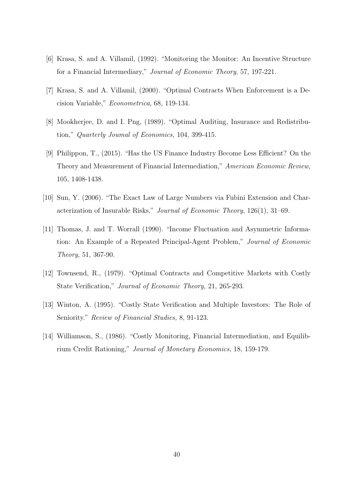- [6] Krasa, S. and A. Villamil, (1992). "Monitoring the Monitor: An Incentive Structure for a Financial Intermediary," Journal of Economic Theory, 57, 197-221.
- [7] Krasa, S. and A. Villamil, (2000). "Optimal Contracts When Enforcement is a Decision Variable," Econometrica, 68, 119-134.
- [8] Mookherjee, D. and I. Png, (1989). "Optimal Auditing, Insurance and Redistribution," Quarterly Joumal of Economics, 104, 399-415.
- [9] Philippon, T., (2015). "Has the US Finance Industry Become Less Efficient? On the Theory and Measurement of Financial Intermediation," American Economic Review, 105, 1408-1438.
- [10] Sun, Y. (2006). "The Exact Law of Large Numbers via Fubini Extension and Characterization of Insurable Risks," Journal of Economic Theory, 126(1), 31–69.
- [11] Thomas, J. and T. Worrall (1990). "Income Fluctuation and Asymmetric Information: An Example of a Repeated Principal-Agent Problem," Journal of Economic Theory, 51, 367-90.
- [12] Townsend, R., (1979). "Optimal Contracts and Competitive Markets with Costly State Verification," Journal of Economic Theory, 21, 265-293.
- [13] Winton, A. (1995). "Costly State Verification and Multiple Investors: The Role of Seniority." Review of Financial Studies, 8, 91-123.
- [14] Williamson, S., (1986). "Costly Monitoring, Financial Intermediation, and Equilibrium Credit Rationing," Journal of Monetary Economics, 18, 159-179.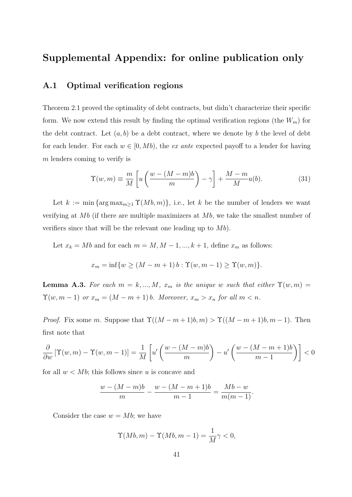# Supplemental Appendix: for online publication only

# A.1 Optimal verification regions

Theorem 2.1 proved the optimality of debt contracts, but didn't characterize their specific form. We now extend this result by finding the optimal verification regions (the  $W_m$ ) for the debt contract. Let  $(a, b)$  be a debt contract, where we denote by b the level of debt for each lender. For each  $w \in [0, Mb)$ , the extended payoff to a lender for having m lenders coming to verify is

$$
\Upsilon(w,m) \equiv \frac{m}{M} \left[ u \left( \frac{w - (M-m)b}{m} \right) - \gamma \right] + \frac{M-m}{M} u(b). \tag{31}
$$

Let  $k := \min \{ \arg \max_{m \geq 1} \Upsilon(Mb, m) \},$  i.e., let k be the number of lenders we want verifying at  $Mb$  (if there are multiple maximizers at  $Mb$ , we take the smallest number of verifiers since that will be the relevant one leading up to  $Mb)$ .

Let  $x_k = Mb$  and for each  $m = M, M - 1, ..., k + 1$ , define  $x_m$  as follows:

$$
x_m = \inf \{ w \ge (M - m + 1) b : \Upsilon(w, m - 1) \ge \Upsilon(w, m) \}.
$$

**Lemma A.3.** For each  $m = k, ..., M$ ,  $x_m$  is the unique w such that either  $\Upsilon(w, m) =$  $\Upsilon(w, m-1)$  or  $x_m = (M - m + 1) b$ . Moreover,  $x_m > x_n$  for all  $m < n$ .

*Proof.* Fix some m. Suppose that  $\Upsilon((M-m+1)b, m) > \Upsilon((M-m+1)b, m-1)$ . Then first note that

$$
\frac{\partial}{\partial w} \left[ \Upsilon(w, m) - \Upsilon(w, m - 1) \right] = \frac{1}{M} \left[ u' \left( \frac{w - (M - m)b}{m} \right) - u' \left( \frac{w - (M - m + 1)b}{m - 1} \right) \right] < 0
$$

for all  $w < Mb$ ; this follows since u is concave and

$$
\frac{w - (M - m)b}{m} - \frac{w - (M - m + 1)b}{m - 1} = \frac{Mb - w}{m(m - 1)}.
$$

Consider the case  $w = Mb$ ; we have

$$
\Upsilon(Mb,m) - \Upsilon(Mb,m-1) = \frac{1}{M}\gamma < 0,
$$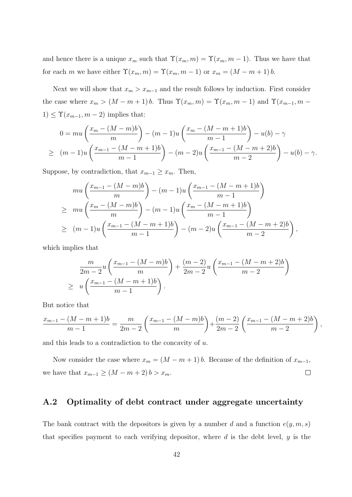and hence there is a unique  $x_m$  such that  $\Upsilon(x_m, m) = \Upsilon(x_m, m-1)$ . Thus we have that for each m we have either  $\Upsilon(x_m, m) = \Upsilon(x_m, m-1)$  or  $x_m = (M - m + 1) b$ .

Next we will show that  $x_m > x_{m-1}$  and the result follows by induction. First consider the case where  $x_m > (M - m + 1)b$ . Thus  $\Upsilon(x_m, m) = \Upsilon(x_m, m - 1)$  and  $\Upsilon(x_{m-1}, m - 1)$  $1) \leq \Upsilon(x_{m-1}, m-2)$  implies that:

$$
0 = mu\left(\frac{x_m - (M-m)b}{m}\right) - (m-1)u\left(\frac{x_m - (M-m+1)b}{m-1}\right) - u(b) - \gamma
$$
  
\n
$$
\geq (m-1)u\left(\frac{x_{m-1} - (M-m+1)b}{m-1}\right) - (m-2)u\left(\frac{x_{m-1} - (M-m+2)b}{m-2}\right) - u(b) - \gamma.
$$

Suppose, by contradiction, that  $x_{m-1} \geq x_m$ . Then,

$$
mu\left(\frac{x_{m-1} - (M-m)b}{m}\right) - (m-1)u\left(\frac{x_{m-1} - (M-m+1)b}{m-1}\right)
$$
  
\n
$$
\geq m u\left(\frac{x_m - (M-m)b}{m}\right) - (m-1)u\left(\frac{x_m - (M-m+1)b}{m-1}\right)
$$
  
\n
$$
\geq (m-1)u\left(\frac{x_{m-1} - (M-m+1)b}{m-1}\right) - (m-2)u\left(\frac{x_{m-1} - (M-m+2)b}{m-2}\right),
$$

which implies that

$$
\frac{m}{2m-2}u\left(\frac{x_{m-1}-(M-m)b}{m}\right) + \frac{(m-2)}{2m-2}u\left(\frac{x_{m-1}-(M-m+2)b}{m-2}\right)
$$
  
\n
$$
\geq u\left(\frac{x_{m-1}-(M-m+1)b}{m-1}\right).
$$

But notice that

$$
\frac{x_{m-1} - (M-m+1)b}{m-1} = \frac{m}{2m-2} \left( \frac{x_{m-1} - (M-m)b}{m} \right) + \frac{(m-2)}{2m-2} \left( \frac{x_{m-1} - (M-m+2)b}{m-2} \right),
$$

and this leads to a contradiction to the concavity of u.

Now consider the case where  $x_m = (M - m + 1) b$ . Because of the definition of  $x_{m-1}$ , we have that  $x_{m-1} \ge (M - m + 2) b > x_m$ .  $\Box$ 

## A.2 Optimality of debt contract under aggregate uncertainty

The bank contract with the depositors is given by a number d and a function  $e(y, m, s)$ that specifies payment to each verifying depositor, where  $d$  is the debt level,  $y$  is the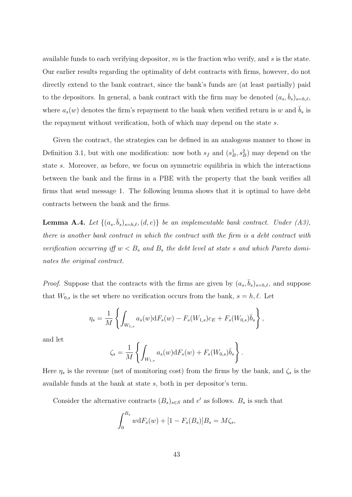available funds to each verifying depositor,  $m$  is the fraction who verify, and  $s$  is the state. Our earlier results regarding the optimality of debt contracts with firms, however, do not directly extend to the bank contract, since the bank's funds are (at least partially) paid to the depositors. In general, a bank contract with the firm may be denoted  $(a_s, \bar{b}_s)_{s=h,\ell}$ , where  $a_s(w)$  denotes the firm's repayment to the bank when verified return is w and  $b_s$  is the repayment without verification, both of which may depend on the state s.

Given the contract, the strategies can be defined in an analogous manner to those in Definition 3.1, but with one modification: now both  $s_f$  and  $(s_B^1, s_B^2)$  may depend on the state s. Moreover, as before, we focus on symmetric equilibria in which the interactions between the bank and the firms in a PBE with the property that the bank verifies all firms that send message 1. The following lemma shows that it is optimal to have debt contracts between the bank and the firms.

**Lemma A.4.** Let  $\{(a_s, \bar{b}_s)_{s=h,\ell}, (d, e)\}\)$  be an implementable bank contract. Under  $(A3)$ , there is another bank contract in which the contract with the firm is a debt contract with verification occurring iff  $w < B_s$  and  $B_s$  the debt level at state s and which Pareto dominates the original contract.

*Proof.* Suppose that the contracts with the firms are given by  $(a_s, \bar{b}_s)_{s=h,\ell}$ , and suppose that  $W_{0,s}$  is the set where no verification occurs from the bank,  $s = h, \ell$ . Let

$$
\eta_s = \frac{1}{M} \left\{ \int_{W_{1,s}} a_s(w) \mathrm{d}F_s(w) - F_s(W_{1,s}) c_E + F_s(W_{0,s}) \bar{b}_s \right\},\,
$$

and let

$$
\zeta_s = \frac{1}{M} \left\{ \int_{W_{1,s}} a_s(w) \mathrm{d}F_s(w) + F_s(W_{0,s}) \overline{b}_s \right\}.
$$

Here  $\eta_s$  is the revenue (net of monitoring cost) from the firms by the bank, and  $\zeta_s$  is the available funds at the bank at state s, both in per depositor's term.

Consider the alternative contracts  $(B_s)_{s \in S}$  and  $e'$  as follows.  $B_s$  is such that

$$
\int_0^{B_s} w dF_s(w) + [1 - F_s(B_s)]B_s = M\zeta_s,
$$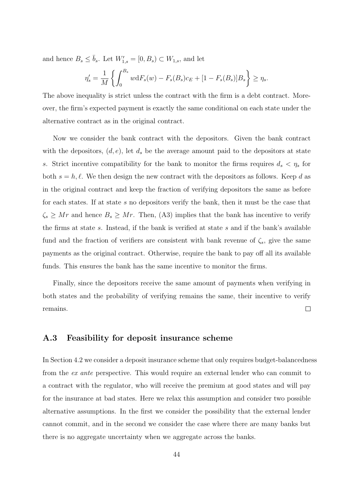and hence  $B_s \leq \bar{b}_s$ . Let  $W'_{1,s} = [0, B_s) \subset W_{1,s}$ , and let

$$
\eta'_{s} = \frac{1}{M} \left\{ \int_{0}^{B_{s}} w dF_{s}(w) - F_{s}(B_{s}) c_{E} + [1 - F_{s}(B_{s})] B_{s} \right\} \ge \eta_{s}.
$$

The above inequality is strict unless the contract with the firm is a debt contract. Moreover, the firm's expected payment is exactly the same conditional on each state under the alternative contract as in the original contract.

Now we consider the bank contract with the depositors. Given the bank contract with the depositors,  $(d, e)$ , let  $d_s$  be the average amount paid to the depositors at state s. Strict incentive compatibility for the bank to monitor the firms requires  $d_s < \eta_s$  for both  $s = h, \ell$ . We then design the new contract with the depositors as follows. Keep d as in the original contract and keep the fraction of verifying depositors the same as before for each states. If at state s no depositors verify the bank, then it must be the case that  $\zeta_s \geq Mr$  and hence  $B_s \geq Mr$ . Then, (A3) implies that the bank has incentive to verify the firms at state s. Instead, if the bank is verified at state s and if the bank's available fund and the fraction of verifiers are consistent with bank revenue of  $\zeta_s$ , give the same payments as the original contract. Otherwise, require the bank to pay off all its available funds. This ensures the bank has the same incentive to monitor the firms.

Finally, since the depositors receive the same amount of payments when verifying in both states and the probability of verifying remains the same, their incentive to verify  $\Box$ remains.

### A.3 Feasibility for deposit insurance scheme

In Section 4.2 we consider a deposit insurance scheme that only requires budget-balancedness from the ex ante perspective. This would require an external lender who can commit to a contract with the regulator, who will receive the premium at good states and will pay for the insurance at bad states. Here we relax this assumption and consider two possible alternative assumptions. In the first we consider the possibility that the external lender cannot commit, and in the second we consider the case where there are many banks but there is no aggregate uncertainty when we aggregate across the banks.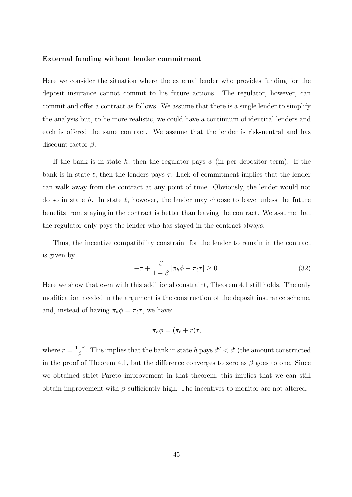#### External funding without lender commitment

Here we consider the situation where the external lender who provides funding for the deposit insurance cannot commit to his future actions. The regulator, however, can commit and offer a contract as follows. We assume that there is a single lender to simplify the analysis but, to be more realistic, we could have a continuum of identical lenders and each is offered the same contract. We assume that the lender is risk-neutral and has discount factor  $\beta$ .

If the bank is in state h, then the regulator pays  $\phi$  (in per depositor term). If the bank is in state  $\ell$ , then the lenders pays  $\tau$ . Lack of commitment implies that the lender can walk away from the contract at any point of time. Obviously, the lender would not do so in state h. In state  $\ell$ , however, the lender may choose to leave unless the future benefits from staying in the contract is better than leaving the contract. We assume that the regulator only pays the lender who has stayed in the contract always.

Thus, the incentive compatibility constraint for the lender to remain in the contract is given by

$$
-\tau + \frac{\beta}{1-\beta} \left[ \pi_h \phi - \pi_\ell \tau \right] \ge 0. \tag{32}
$$

Here we show that even with this additional constraint, Theorem 4.1 still holds. The only modification needed in the argument is the construction of the deposit insurance scheme, and, instead of having  $\pi_h \phi = \pi_{\ell} \tau$ , we have:

$$
\pi_h \phi = (\pi_\ell + r) \tau,
$$

where  $r = \frac{1-\beta}{\beta}$  $\frac{-\beta}{\beta}$ . This implies that the bank in state h pays  $d'' < d'$  (the amount constructed in the proof of Theorem 4.1, but the difference converges to zero as  $\beta$  goes to one. Since we obtained strict Pareto improvement in that theorem, this implies that we can still obtain improvement with  $\beta$  sufficiently high. The incentives to monitor are not altered.